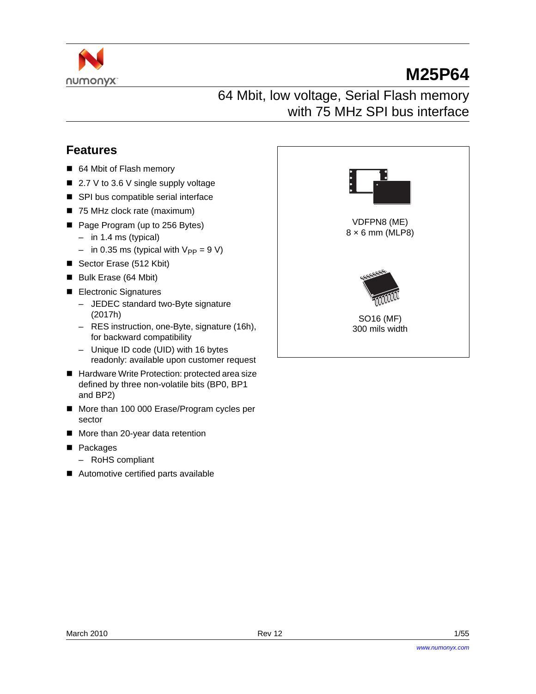

# **M25P64**

## 64 Mbit, low voltage, Serial Flash memory with 75 MHz SPI bus interface

## <span id="page-0-0"></span>**Features**

- 64 Mbit of Flash memory
- 2.7 V to 3.6 V single supply voltage
- SPI bus compatible serial interface
- 75 MHz clock rate (maximum)
- Page Program (up to 256 Bytes)
	- in 1.4 ms (typical)
	- in 0.35 ms (typical with  $V_{PP} = 9 V$ )
- Sector Erase (512 Kbit)
- Bulk Erase (64 Mbit)
- **Electronic Signatures** 
	- JEDEC standard two-Byte signature (2017h)
	- RES instruction, one-Byte, signature (16h), for backward compatibility
	- Unique ID code (UID) with 16 bytes readonly: available upon customer request
- Hardware Write Protection: protected area size defined by three non-volatile bits (BP0, BP1 and BP2)
- More than 100 000 Erase/Program cycles per sector
- More than 20-year data retention
- **Packages** 
	- RoHS compliant
- Automotive certified parts available

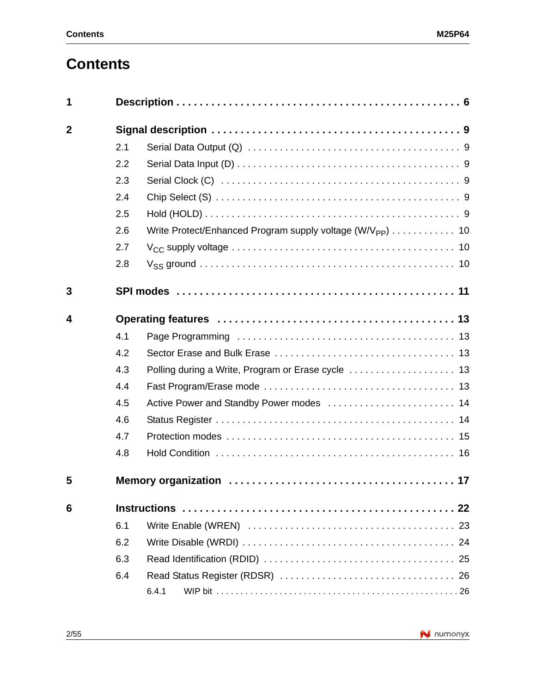# **Contents**

| 1              |     |                                                                       |
|----------------|-----|-----------------------------------------------------------------------|
| $\overline{2}$ |     |                                                                       |
|                | 2.1 |                                                                       |
|                | 2.2 |                                                                       |
|                | 2.3 |                                                                       |
|                | 2.4 |                                                                       |
|                | 2.5 |                                                                       |
|                | 2.6 | Write Protect/Enhanced Program supply voltage (W/V <sub>PP</sub> ) 10 |
|                | 2.7 |                                                                       |
|                | 2.8 |                                                                       |
| 3              |     |                                                                       |
| 4              |     |                                                                       |
|                | 4.1 |                                                                       |
|                | 4.2 |                                                                       |
|                | 4.3 |                                                                       |
|                | 4.4 |                                                                       |
|                | 4.5 | Active Power and Standby Power modes  14                              |
|                | 4.6 |                                                                       |
|                | 4.7 |                                                                       |
|                | 4.8 |                                                                       |
| 5              |     |                                                                       |
| 6              |     |                                                                       |
|                | 6.1 |                                                                       |
|                | 6.2 |                                                                       |
|                | 6.3 |                                                                       |
|                | 6.4 |                                                                       |
|                |     | 6.4.1                                                                 |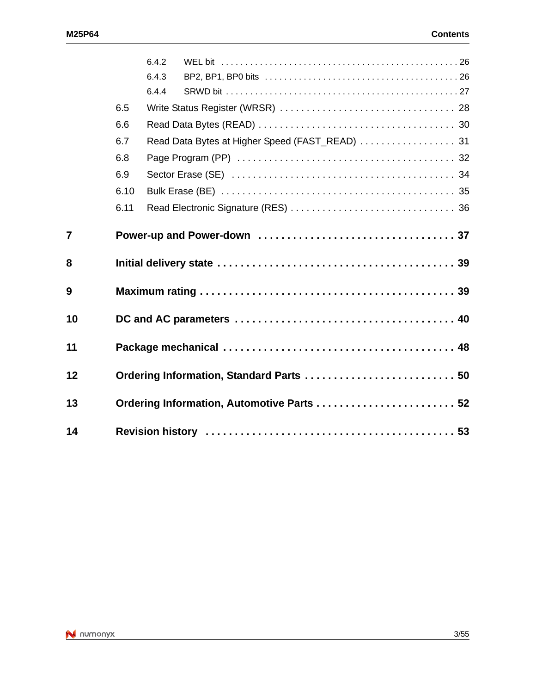|                |      | 6.4.2 |                                                |  |
|----------------|------|-------|------------------------------------------------|--|
|                |      | 6.4.3 |                                                |  |
|                |      | 6.4.4 |                                                |  |
|                | 6.5  |       |                                                |  |
|                | 6.6  |       |                                                |  |
|                | 6.7  |       | Read Data Bytes at Higher Speed (FAST_READ) 31 |  |
|                | 6.8  |       |                                                |  |
|                | 6.9  |       |                                                |  |
|                | 6.10 |       |                                                |  |
|                | 6.11 |       |                                                |  |
| $\overline{7}$ |      |       |                                                |  |
| 8              |      |       |                                                |  |
|                |      |       |                                                |  |
| 9              |      |       |                                                |  |
| 10             |      |       |                                                |  |
| 11             |      |       |                                                |  |
| 12             |      |       | Ordering Information, Standard Parts  50       |  |
| 13             |      |       | Ordering Information, Automotive Parts  52     |  |

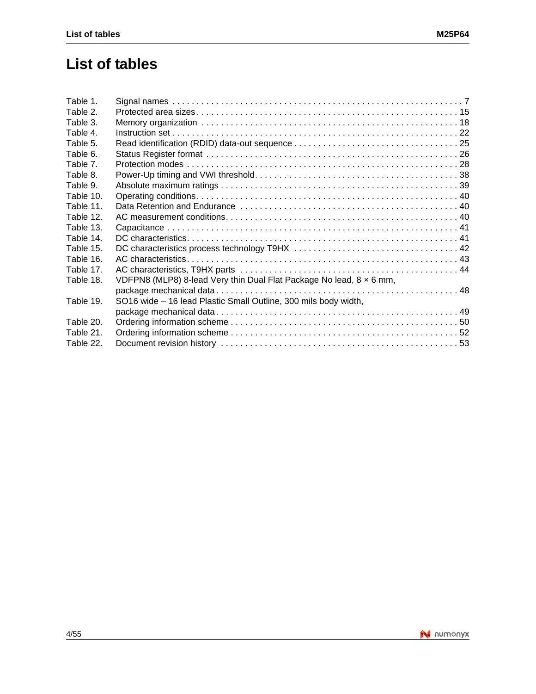## **List of tables**

| Table 1.  |                                                                     |  |
|-----------|---------------------------------------------------------------------|--|
| Table 2.  |                                                                     |  |
| Table 3.  |                                                                     |  |
| Table 4.  |                                                                     |  |
| Table 5.  |                                                                     |  |
| Table 6.  |                                                                     |  |
| Table 7.  |                                                                     |  |
| Table 8.  |                                                                     |  |
| Table 9.  |                                                                     |  |
| Table 10. |                                                                     |  |
| Table 11. |                                                                     |  |
| Table 12. |                                                                     |  |
| Table 13. |                                                                     |  |
| Table 14. |                                                                     |  |
| Table 15. |                                                                     |  |
| Table 16. |                                                                     |  |
| Table 17. |                                                                     |  |
| Table 18. | VDFPN8 (MLP8) 8-lead Very thin Dual Flat Package No lead, 8 x 6 mm, |  |
|           |                                                                     |  |
| Table 19. | SO16 wide - 16 lead Plastic Small Outline, 300 mils body width,     |  |
|           |                                                                     |  |
| Table 20. |                                                                     |  |
| Table 21. |                                                                     |  |
| Table 22. |                                                                     |  |
|           |                                                                     |  |

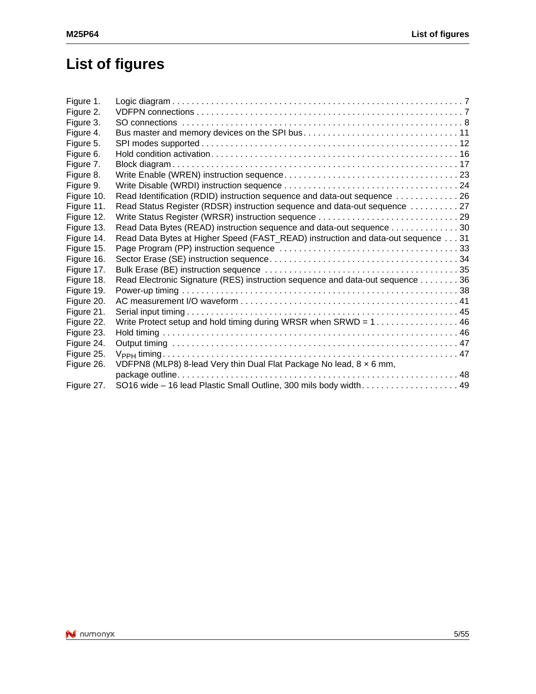# **List of figures**

| Figure 1.  |                                                                                                     |  |
|------------|-----------------------------------------------------------------------------------------------------|--|
| Figure 2.  |                                                                                                     |  |
| Figure 3.  |                                                                                                     |  |
| Figure 4.  | Bus master and memory devices on the SPI bus11                                                      |  |
| Figure 5.  |                                                                                                     |  |
| Figure 6.  |                                                                                                     |  |
| Figure 7.  |                                                                                                     |  |
| Figure 8.  |                                                                                                     |  |
| Figure 9.  |                                                                                                     |  |
| Figure 10. | Read Identification (RDID) instruction sequence and data-out sequence 26                            |  |
| Figure 11. | Read Status Register (RDSR) instruction sequence and data-out sequence  27                          |  |
| Figure 12. |                                                                                                     |  |
| Figure 13. | Read Data Bytes (READ) instruction sequence and data-out sequence 30                                |  |
| Figure 14. | Read Data Bytes at Higher Speed (FAST_READ) instruction and data-out sequence 31                    |  |
| Figure 15. |                                                                                                     |  |
| Figure 16. |                                                                                                     |  |
| Figure 17. |                                                                                                     |  |
| Figure 18. | Read Electronic Signature (RES) instruction sequence and data-out sequence 36                       |  |
| Figure 19. |                                                                                                     |  |
| Figure 20. |                                                                                                     |  |
| Figure 21. |                                                                                                     |  |
| Figure 22. | Write Protect setup and hold timing during WRSR when SRWD = $1, \ldots, \ldots, \ldots, \ldots, 46$ |  |
| Figure 23. |                                                                                                     |  |
| Figure 24. |                                                                                                     |  |
| Figure 25. |                                                                                                     |  |
| Figure 26. | VDFPN8 (MLP8) 8-lead Very thin Dual Flat Package No lead, 8 x 6 mm,                                 |  |
|            |                                                                                                     |  |
| Figure 27. | SO16 wide - 16 lead Plastic Small Outline, 300 mils body width 49                                   |  |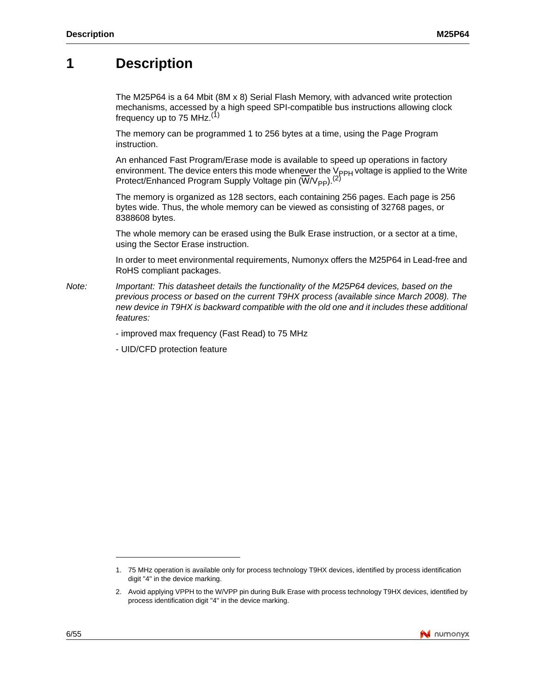## **1 Description**

The M25P64 is a 64 Mbit (8M x 8) Serial Flash Memory, with advanced write protection mechanisms, accessed by a high speed SPI-compatible bus instructions allowing clock frequency up to 75 MHz. $(1)$ 

The memory can be programmed 1 to 256 bytes at a time, using the Page Program instruction.

An enhanced Fast Program/Erase mode is available to speed up operations in factory environment. The device enters this mode whenever the V<sub>PPH</sub> voltage is applied to the Write Protect/Enhanced Program Supply Voltage pin ( $\overline{W}/V_{\text{PP}}$ ).<sup>(2)</sup>

The memory is organized as 128 sectors, each containing 256 pages. Each page is 256 bytes wide. Thus, the whole memory can be viewed as consisting of 32768 pages, or 8388608 bytes.

The whole memory can be erased using the Bulk Erase instruction, or a sector at a time, using the Sector Erase instruction.

In order to meet environmental requirements, Numonyx offers the M25P64 in Lead-free and RoHS compliant packages.

*Note: Important: This datasheet details the functionality of the M25P64 devices, based on the previous process or based on the current T9HX process (available since March 2008). The new device in T9HX is backward compatible with the old one and it includes these additional features:*

- improved max frequency (Fast Read) to 75 MHz

- UID/CFD protection feature

<sup>2.</sup> Avoid applying VPPH to the W/VPP pin during Bulk Erase with process technology T9HX devices, identified by process identification digit "4" in the device marking.



<sup>1. 75</sup> MHz operation is available only for process technology T9HX devices, identified by process identification digit "4" in the device marking.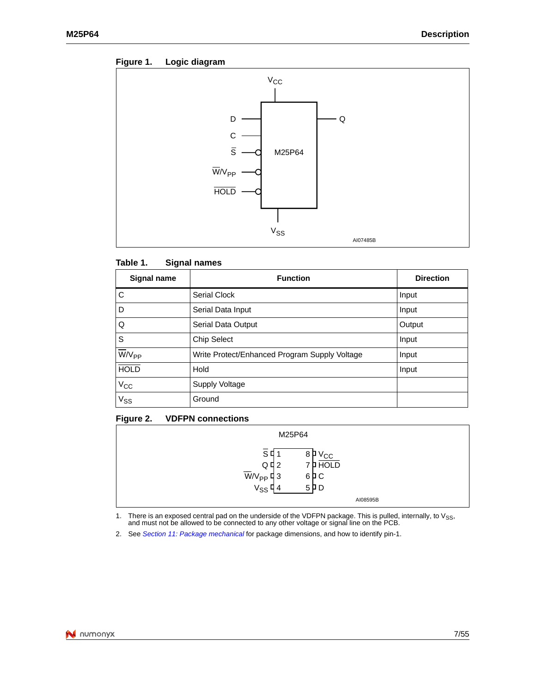



#### Table 1. **Signal names**

| Signal name           | <b>Function</b>                               | <b>Direction</b> |
|-----------------------|-----------------------------------------------|------------------|
| C                     | Serial Clock                                  | Input            |
| D                     | Serial Data Input                             | Input            |
| $\overline{Q}$        | Serial Data Output                            | Output           |
| $\mathsf{s}$          | <b>Chip Select</b>                            | Input            |
| $\overline{W}/V_{PP}$ | Write Protect/Enhanced Program Supply Voltage | Input            |
| <b>HOLD</b>           | Hold                                          | Input            |
| $V_{CC}$              | Supply Voltage                                |                  |
| V <sub>SS</sub>       | Ground                                        |                  |

### **Figure 2. VDFPN connections**

| M25P64                                                                                         |                                                                        |  |  |  |
|------------------------------------------------------------------------------------------------|------------------------------------------------------------------------|--|--|--|
| sч<br>$Q$ <sup><math>q</math></sup> $2$<br>$\overline{W}/V_{PP}$ 4 3<br>$V_{SS}$ $\frac{1}{4}$ | 8<br>P <sub>VC</sub><br>7 <b>P</b> HOLD<br>6PC<br>$5$ $\overline{p}$ D |  |  |  |
|                                                                                                | AI08595B                                                               |  |  |  |

1. Ther[e is an exposed central pad on th](#page-47-0)e underside of the VDFPN package. This is pulled, internally, to V<sub>SS</sub>, and must not be allowed to be connected to any other voltage or signal line on the PCB.

2. See *Section 11: Package mechanical* for package dimensions, and how to identify pin-1.

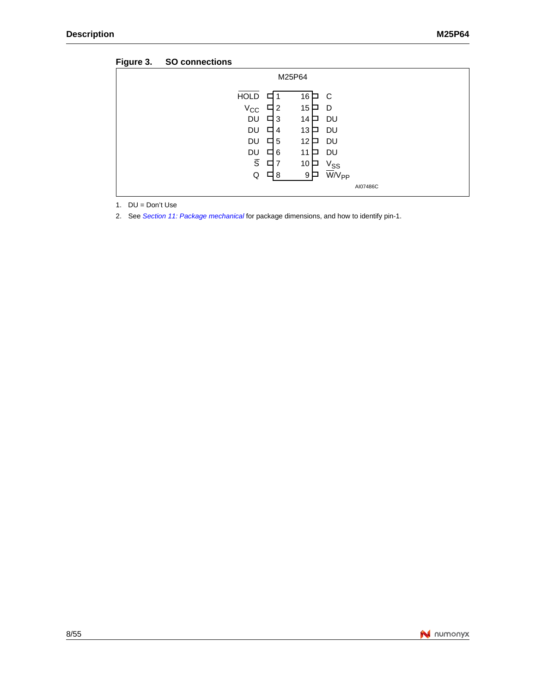| $\check{ }$ |                                                                                                                             |                                                                                                               |  |
|-------------|-----------------------------------------------------------------------------------------------------------------------------|---------------------------------------------------------------------------------------------------------------|--|
|             |                                                                                                                             | M25P64                                                                                                        |  |
|             | <b>HOLD</b><br>ப<br>$V_{\rm CC}$<br>-2<br>ப<br><b>DU</b><br>-3<br>口<br>DU<br>□<br>4<br><b>DU</b><br>□<br>-5<br>DU<br>6<br>ப | 16<br>C<br>□<br>15 <sub>1</sub><br>D<br>DU<br>14 $\Box$<br>DU<br>13<br>$\mathbf{L}$<br>12 □<br>DU<br>DU<br>11 |  |
|             | $\overline{s}$<br>口<br>Q<br>8<br>ப                                                                                          | 10<br>$V_{SS}$<br>W/V <sub>PP</sub><br>9                                                                      |  |
|             |                                                                                                                             | AI07486C                                                                                                      |  |

<span id="page-7-0"></span>

1. DU = Don't Use

2. See *Section 11: Package mechanical* for package dimensions, and how to identify pin-1.

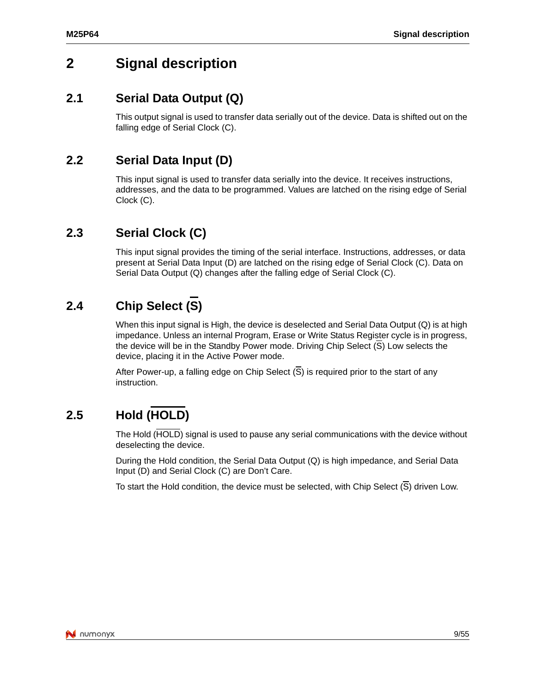## <span id="page-8-1"></span><span id="page-8-0"></span>**2 Signal description**

## **2.1 Serial Data Output (Q)**

This output signal is used to transfer data serially out of the device. Data is shifted out on the falling edge of Serial Clock (C).

## <span id="page-8-2"></span>**2.2 Serial Data Input (D)**

This input signal is used to transfer data serially into the device. It receives instructions, addresses, and the data to be programmed. Values are latched on the rising edge of Serial Clock (C).

## <span id="page-8-3"></span>**2.3 Serial Clock (C)**

This input signal provides the timing of the serial interface. Instructions, addresses, or data present at Serial Data Input (D) are latched on the rising edge of Serial Clock (C). Data on Serial Data Output (Q) changes after the falling edge of Serial Clock (C).

## <span id="page-8-4"></span>**2.4 Chip Select (S)**

When this input signal is High, the device is deselected and Serial Data Output (Q) is at high impedance. Unless an internal Program, Erase or Write Status Register cycle is in progress, the device will be in the Standby Power mode. Driving Chip Select (S) Low selects the device, placing it in the Active Power mode.

After Power-up, a falling edge on Chip Select (S) is required prior to the start of any instruction.

## <span id="page-8-5"></span>**2.5 Hold (HOLD)**

The Hold (HOLD) signal is used to pause any serial communications with the device without deselecting the device.

During the Hold condition, the Serial Data Output (Q) is high impedance, and Serial Data Input (D) and Serial Clock (C) are Don't Care.

To start the Hold condition, the device must be selected, with Chip Select  $(\overline{S})$  driven Low.

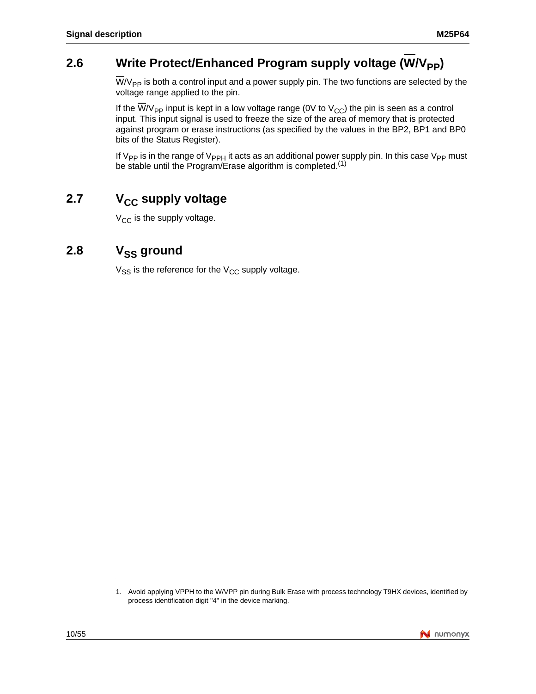## <span id="page-9-0"></span>2.6 Write Protect/Enhanced Program supply voltage (W/V<sub>PP</sub>)

 $\overline{W}/V_{PP}$  is both a control input and a power supply pin. The two functions are selected by the voltage range applied to the pin.

If the  $\overline{W}/V_{PP}$  input is kept in a low voltage range (0V to  $V_{CC}$ ) the pin is seen as a control input. This input signal is used to freeze the size of the area of memory that is protected against program or erase instructions (as specified by the values in the BP2, BP1 and BP0 bits of the Status Register).

If  $V_{PP}$  is in the range of  $V_{PPH}$  it acts as an additional power supply pin. In this case  $V_{PP}$  must be stable until the Program/Erase algorithm is completed.<sup>(1)</sup>

## <span id="page-9-1"></span>2.7 V<sub>CC</sub> supply voltage

 $V_{CC}$  is the supply voltage.

## <span id="page-9-2"></span>2.8 V<sub>SS</sub> ground

 $V_{SS}$  is the reference for the  $V_{CC}$  supply voltage.

<sup>1.</sup> Avoid applying VPPH to the W/VPP pin during Bulk Erase with process technology T9HX devices, identified by process identification digit "4" in the device marking.

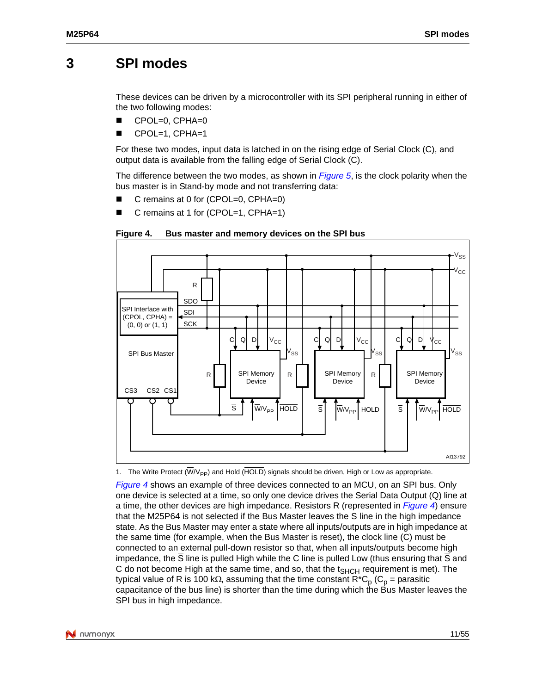## <span id="page-10-0"></span>**3 SPI modes**

These devices can be driven by a microcontroller with its SPI peripheral running in either of the two following modes:

- CPOL=0, CPHA=0
- CPOL=1, CPHA=1

For these two modes, input data is latched in on the [rising ed](#page-11-0)ge of Serial Clock (C), and output data is available from the falling edge of Serial Clock (C).

The difference between the two modes, as shown in *Figure 5*, is the clock polarity when the bus master is in Stand-by mode and not transferring data:

- C remains at 0 for (CPOL=0, CPHA=0)
- <span id="page-10-1"></span>C remains at 1 for (CPOL=1, CPHA=1)





1. The Write Protect  $(\overline{W}/V_{\text{PP}})$  and Hold ( $\overline{HOLD}$ ) signals should be driven, High or Low as appropriate.

*Figure 4* shows an example of three devices connected to an MCU, on an [SPI bus.](#page-10-1) Only one device is selected at a time, so only one device drives the Serial Data Output (Q) line at a time, the other devices are high impedance. Resistors R (represented in *Figure 4*) ensure that the M25P64 is not selected if the Bus Master leaves the S line in the high impedance state. As the Bus Master may enter a state where all inputs/outputs are in high impedance at the same time (for example, when the Bus Master is reset), the clock line (C) must be connected to an external pull-down resistor so that, when all inputs/outputs become high impedance, the S line is pulled High while the C line is pulled Low (thus ensuring that S and C do not become High at the same time, and so, that the  $t_{SHCH}$  requirement is met). The typical value of R is 100 kΩ, assuming that the time constant  $R^*C_p$  (C<sub>p</sub> = parasitic capacitance of the bus line) is shorter than the time during which the Bus Master leaves the SPI bus in high impedance.

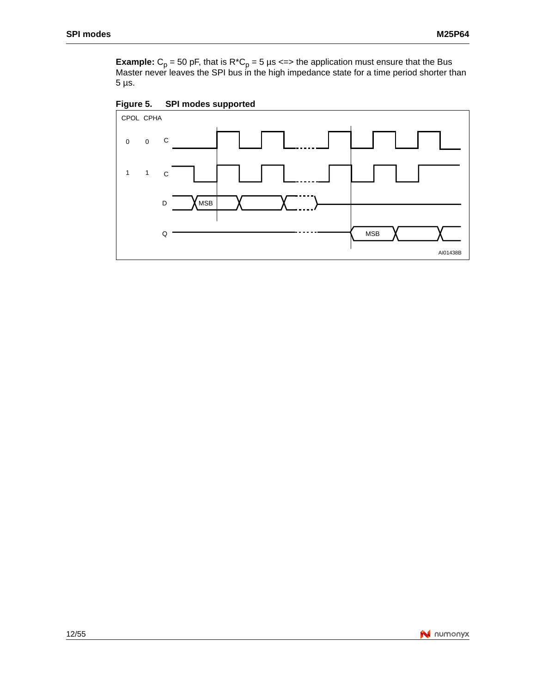<span id="page-11-0"></span>**Example:**  $C_p$  = 50 pF, that is  $R^*C_p$  = 5 µs <=> the application must ensure that the Bus Master never leaves the SPI bus in the high impedance state for a time period shorter than 5 µs.

**Figure 5. SPI modes supported**

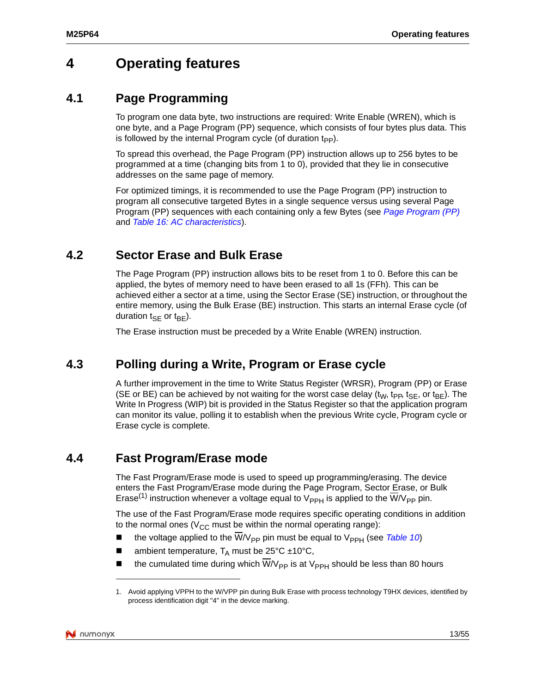## <span id="page-12-1"></span><span id="page-12-0"></span>**4 Operating features**

### **4.1 Page Programming**

To program one data byte, two instructions are required: Write Enable (WREN), which is one byte, and a Page Program (PP) sequence, which consists of four bytes plus data. This is followed by the internal Program cycle (of duration  $t_{\text{pp}}$ ).

To spread this overhead, the Page Program (PP) instruction allows up to 256 bytes to be programmed at a time (changing bits from 1 to 0), provided that they lie in consecutive addresses on the same page of memory.

For optimized timings, it is recommended to use the Page Program ([PP\) instruction to](#page-31-0)  pro[gram all consecutive targeted](#page-42-0) Bytes in a single sequence versus using several Page Program (PP) sequences with each containing only a few Bytes (see *Page Program (PP)* and *Table 16: AC characteristics*).

## <span id="page-12-2"></span>**4.2 Sector Erase and Bulk Erase**

The Page Program (PP) instruction allows bits to be reset from 1 to 0. Before this can be applied, the bytes of memory need to have been erased to all 1s (FFh). This can be achieved either a sector at a time, using the Sector Erase (SE) instruction, or throughout the entire memory, using the Bulk Erase (BE) instruction. This starts an internal Erase cycle (of duration  $t_{\text{SF}}$  or  $t_{\text{BF}}$ ).

The Erase instruction must be preceded by a Write Enable (WREN) instruction.

## <span id="page-12-3"></span>**4.3 Polling during a Write, Program or Erase cycle**

A further improvement in the time to Write Status Register (WRSR), Program (PP) or Erase (SE or BE) can be achieved by not waiting for the worst case delay ( $t_{W}$ ,  $t_{\text{PP}}$ ,  $t_{\text{SE}}$ , or  $t_{\text{BE}}$ ). The Write In Progress (WIP) bit is provided in the Status Register so that the application program can monitor its value, polling it to establish when the previous Write cycle, Program cycle or Erase cycle is complete.

## <span id="page-12-4"></span>**4.4 Fast Program/Erase mode**

The Fast Program/Erase mode is used to speed up programming/erasing. The device enters the Fast Program/Erase mode during the Page Program, Sector Erase, or Bulk Erase<sup>(1)</sup> instruction whenever a voltage equal to  $V_{PPH}$  is applied to the  $W/V_{PP}$  pin.

The use of the Fast Program/Erase mode requires specific operating [conditions](#page-39-1) in addition to the normal ones ( $V_{CC}$  must be within the normal operating range):

- the voltage applied to the  $\overline{W}/V_{PP}$  pin must be equal to  $V_{PPH}$  (see *Table 10*)
- ambient temperature,  $T_A$  must be 25°C ±10°C,
- the cumulated time during which W/V<sub>PP</sub> is at V<sub>PPH</sub> should be less than 80 hours

<sup>1.</sup> Avoid applying VPPH to the W/VPP pin during Bulk Erase with process technology T9HX devices, identified by process identification digit "4" in the device marking.

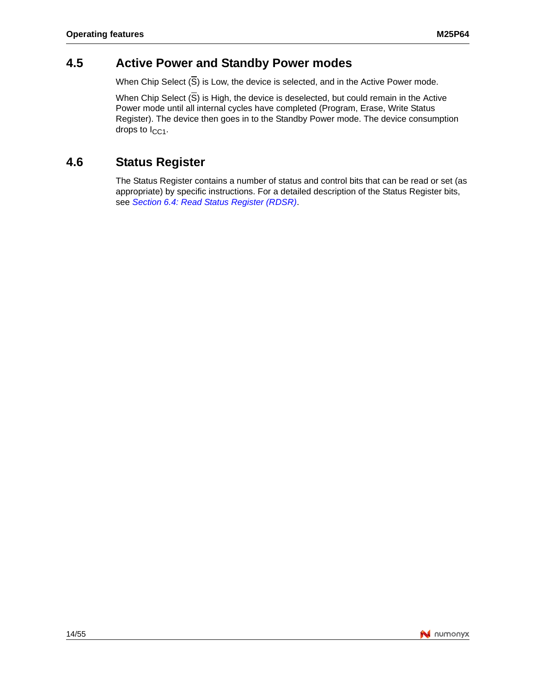## <span id="page-13-0"></span>**4.5 Active Power and Standby Power modes**

When Chip Select  $(\overline{S})$  is Low, the device is selected, and in the Active Power mode.

When Chip Select  $(\overline{S})$  is High, the device is deselected, but could remain in the Active Power mode until all internal cycles have completed (Program, Erase, Write Status Register). The device then goes in to the Standby Power mode. The device consumption drops to  $I_{CCA}$ .

## <span id="page-13-1"></span>**4.6 Status Register**

The [Status Register contains a number of statu](#page-25-0)s and control bits that can be read or set (as appropriate) by specific instructions. For a detailed description of the Status Register bits, see *Section 6.4: Read Status Register (RDSR)*.

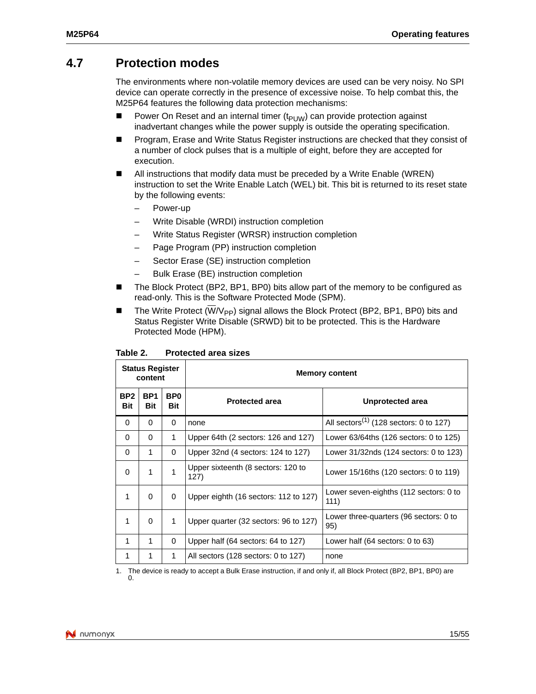### <span id="page-14-0"></span>**4.7 Protection modes**

The environments where non-volatile memory devices are used can be very noisy. No SPI device can operate correctly in the presence of excessive noise. To help combat this, the M25P64 features the following data protection mechanisms:

- **Power On Reset and an internal timer (t<sub>PUW</sub>) can provide protection against** inadvertant changes while the power supply is outside the operating specification.
- **Program, Erase and Write Status Register instructions are checked that they consist of** a number of clock pulses that is a multiple of eight, before they are accepted for execution.
- All instructions that modify data must be preceded by a Write Enable (WREN) instruction to set the Write Enable Latch (WEL) bit. This bit is returned to its reset state by the following events:
	- Power-up
	- Write Disable (WRDI) instruction completion
	- Write Status Register (WRSR) instruction completion
	- Page Program (PP) instruction completion
	- Sector Erase (SE) instruction completion
	- Bulk Erase (BE) instruction completion
- The Block Protect (BP2, BP1, BP0) bits allow part of the memory to be configured as read-only. This is the Software Protected Mode (SPM).
- <span id="page-14-1"></span>The Write Protect ( $\overline{W}/V_{\text{PP}}$ ) signal allows the Block Protect (BP2, BP1, BP0) bits and Status Register Write Disable (SRWD) bit to be protected. This is the Hardware Protected Mode (HPM).

| <b>Status Register</b><br>content |                        |                        | <b>Memory content</b>                      |                                                    |  |
|-----------------------------------|------------------------|------------------------|--------------------------------------------|----------------------------------------------------|--|
| BP <sub>2</sub><br>Bit            | BP <sub>1</sub><br>Bit | BP <sub>0</sub><br>Bit | <b>Protected area</b>                      | Unprotected area                                   |  |
| $\Omega$                          | 0                      | 0                      | none                                       | All sectors <sup>(1)</sup> (128 sectors: 0 to 127) |  |
| $\Omega$                          | 0                      | 1                      | Upper 64th (2 sectors: 126 and 127)        | Lower 63/64ths (126 sectors: 0 to 125)             |  |
| $\Omega$                          | 1                      | 0                      | Upper 32nd (4 sectors: 124 to 127)         | Lower 31/32nds (124 sectors: 0 to 123)             |  |
| $\Omega$                          | 1                      | 1                      | Upper sixteenth (8 sectors: 120 to<br>127) | Lower 15/16ths (120 sectors: 0 to 119)             |  |
| 1                                 | 0                      | 0                      | Upper eighth (16 sectors: 112 to 127)      | Lower seven-eighths (112 sectors: 0 to<br>111)     |  |
| 1                                 | $\Omega$               | 1                      | Upper quarter (32 sectors: 96 to 127)      | Lower three-quarters (96 sectors: 0 to<br>95)      |  |
| 1                                 | 1                      | 0                      | Upper half (64 sectors: 64 to 127)         | Lower half $(64$ sectors: 0 to $63)$               |  |
| 1                                 | 1                      | 1                      | All sectors (128 sectors: 0 to 127)        | none                                               |  |

Table 2. **Protected area sizes** 

1. The device is ready to accept a Bulk Erase instruction, if and only if, all Block Protect (BP2, BP1, BP0) are 0.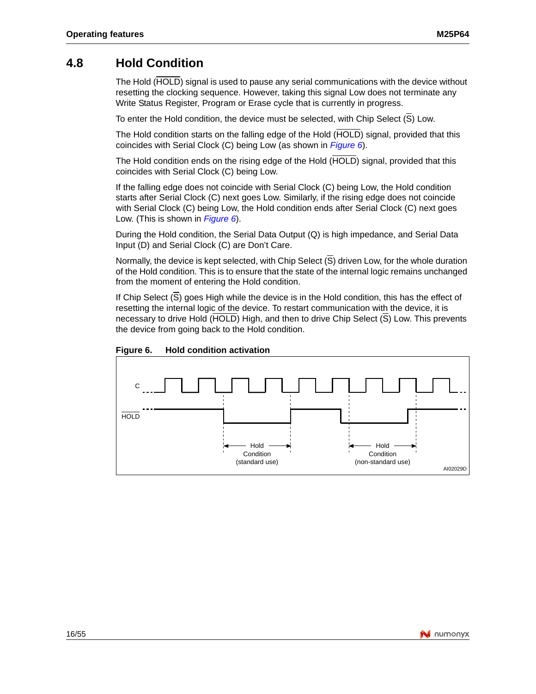### <span id="page-15-0"></span>**4.8 Hold Condition**

The Hold (HOLD) signal is used to pause any serial communications with the device without resetting the clocking sequence. However, taking this signal Low does not terminate any Write Status Register, Program or Erase cycle that is currently in progress.

To enter the Hold condition, the device must be selecte[d, with C](#page-15-1)hip Select (S) Low.

The Hold condition starts on the falling edge of the Hold (HOLD) signal, provided that this coincides with Serial Clock (C) being Low (as shown in *Figure 6*).

The Hold condition ends on the rising edge of the Hold (HOLD) signal, provided that this coincides with Serial Clock (C) being Low.

If the falling edge does not coincide with Serial Clock (C) being Low, the Hold condition starts after Serial Cloc[k \(C\) nex](#page-15-1)t goes Low. Similarly, if the rising edge does not coincide with Serial Clock (C) being Low, the Hold condition ends after Serial Clock (C) next goes Low. (This is shown in *Figure 6*).

During the Hold condition, the Serial Data Output (Q) is high impedance, and Serial Data Input (D) and Serial Clock (C) are Don't Care.

Normally, the device is kept selected, with Chip Select (S) driven Low, for the whole duration of the Hold condition. This is to ensure that the state of the internal logic remains unchanged from the moment of entering the Hold condition.

If Chip Select (S) goes High while the device is in the Hold condition, this has the effect of resetting the internal logic of the device. To restart communication with the device, it is necessary to drive Hold (HOLD) High, and then to drive Chip Select (S) Low. This prevents the device from going back to the Hold condition.



<span id="page-15-1"></span>

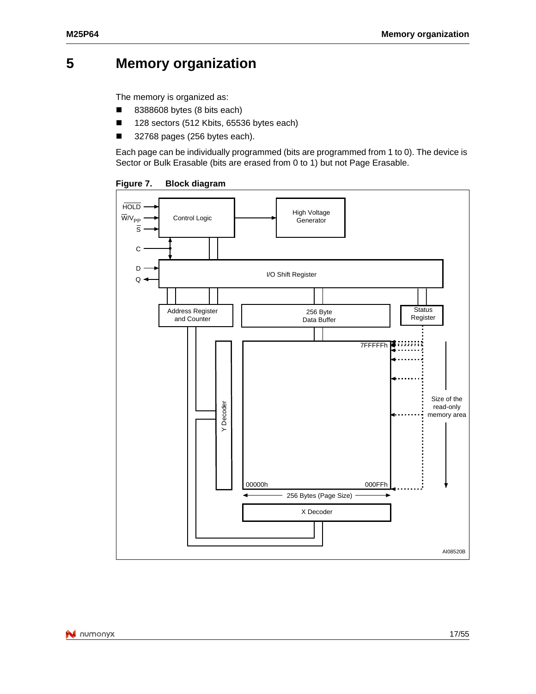## <span id="page-16-0"></span>**5 Memory organization**

The memory is organized as:

- 8388608 bytes (8 bits each)
- 128 sectors (512 Kbits, 65536 bytes each)
- 32768 pages (256 bytes each).

<span id="page-16-1"></span>Each page can be individually programmed (bits are programmed from 1 to 0). The device is Sector or Bulk Erasable (bits are erased from 0 to 1) but not Page Erasable.

**Figure 7. Block diagram**

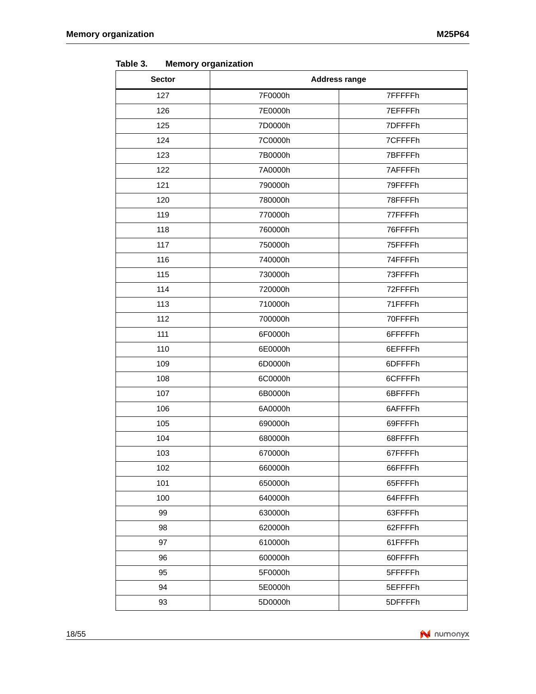| <b>Sector</b> | <b>Address range</b> |         |
|---------------|----------------------|---------|
| 127           | 7F0000h              | 7FFFFFh |
| 126           | 7E0000h              | 7EFFFFh |
| 125           | 7D0000h              | 7DFFFFh |
| 124           | 7C0000h              | 7CFFFFh |
| 123           | 7B0000h              | 7BFFFFh |
| 122           | 7A0000h              | 7AFFFFh |
| 121           | 790000h              | 79FFFFh |
| 120           | 780000h              | 78FFFFh |
| 119           | 770000h              | 77FFFFh |
| 118           | 760000h              | 76FFFFh |
| 117           | 750000h              | 75FFFFh |
| 116           | 740000h              | 74FFFFh |
| 115           | 730000h              | 73FFFFh |
| 114           | 720000h              | 72FFFFh |
| 113           | 710000h              | 71FFFFh |
| 112           | 700000h              | 70FFFFh |
| 111           | 6F0000h              | 6FFFFFh |
| 110           | 6E0000h              | 6EFFFFh |
| 109           | 6D0000h              | 6DFFFFh |
| 108           | 6C0000h              | 6CFFFFh |
| 107           | 6B0000h              | 6BFFFFh |
| 106           | 6A0000h              | 6AFFFFh |
| 105           | 690000h              | 69FFFFh |
| 104           | 680000h              | 68FFFFh |
| 103           | 670000h              | 67FFFFh |
| 102           | 660000h              | 66FFFFh |
| 101           | 650000h              | 65FFFFh |
| 100           | 640000h              | 64FFFFh |
| 99            | 630000h              | 63FFFFh |
| 98            | 620000h              | 62FFFFh |
| 97            | 610000h              | 61FFFFh |
| 96            | 600000h              | 60FFFFh |
| 95            | 5F0000h              | 5FFFFFh |
| 94            | 5E0000h              | 5EFFFFh |
| 93            | 5D0000h              | 5DFFFFh |

<span id="page-17-0"></span>Table 3. **Memory organization** 

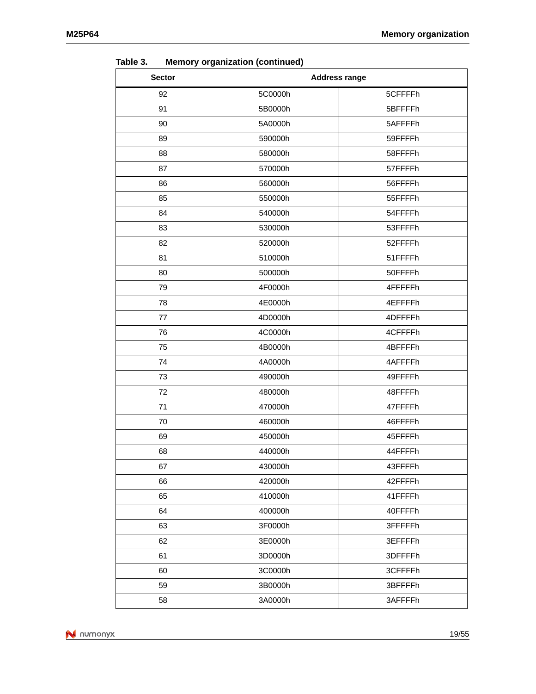| <b>Sector</b> | ----------<br><b>Address range</b> |          |  |
|---------------|------------------------------------|----------|--|
| 92            | 5C0000h                            | 5CFFFFh  |  |
| 91            | 5B0000h                            | 5BFFFFh  |  |
| 90            | 5A0000h                            | 5AFFFFh  |  |
| 89            | 590000h                            | 59FFFFh  |  |
| 88            | 580000h                            | 58FFFFh  |  |
| 87            | 570000h                            | 57FFFFh  |  |
| 86            | 560000h                            | 56FFFFh  |  |
| 85            | 550000h                            | 55FFFFh  |  |
| 84            | 540000h                            | 54FFFFh  |  |
| 83            | 530000h                            | 53FFFFh  |  |
| 82            | 520000h                            | 52FFFFh  |  |
| 81            | 510000h                            | 51FFFFh  |  |
| 80            | 500000h                            | 50FFFFh  |  |
| 79            | 4F0000h                            | 4FFFFFh  |  |
| 78            | 4E0000h                            | 4EFFFFh  |  |
| 77            | 4D0000h                            | 4DFFFFh  |  |
| 76            | 4C0000h                            | 4CFFFFh  |  |
| 75            | 4B0000h                            | 4BFFFFh  |  |
| 74            | 4A0000h                            | 4AFFFFh  |  |
| 73            | 490000h                            | 49FFFFh  |  |
| 72            | 480000h                            | 48FFFFh  |  |
| 71            | 470000h                            | 47FFFFh  |  |
| 70            | 460000h                            | 46FFFFh  |  |
| 69            | 450000h                            | 45FFFFh  |  |
| 68            | 440000h                            | 44FFFFh  |  |
| 67            | 430000h                            | 43FFFFh  |  |
| 66            | 420000h                            | 42FFFFh  |  |
| 65            | 410000h                            | 41FFFFh  |  |
| 64            | 400000h                            | 40FFFFh  |  |
| 63            | 3F0000h                            | 3FFFFFFh |  |
| 62            | 3E0000h                            | 3EFFFFh  |  |
| 61            | 3D0000h                            | 3DFFFFh  |  |
| 60            | 3C0000h                            | 3CFFFFh  |  |
| 59            | 3B0000h                            | 3BFFFFh  |  |
| 58            | 3A0000h                            | 3AFFFFh  |  |

**Table 3. Memory organization (continued)**

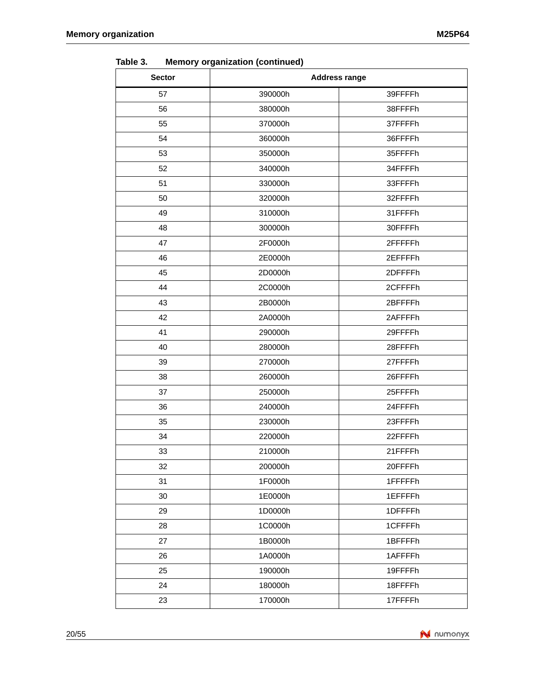| <b>Sector</b> | <b>Address range</b> |         |  |
|---------------|----------------------|---------|--|
| 57            | 390000h              | 39FFFFh |  |
| 56            | 380000h              | 38FFFFh |  |
| 55            | 370000h              | 37FFFFh |  |
| 54            | 360000h              | 36FFFFh |  |
| 53            | 350000h              | 35FFFFh |  |
| 52            | 340000h              | 34FFFFh |  |
| 51            | 330000h              | 33FFFFh |  |
| 50            | 320000h              | 32FFFFh |  |
| 49            | 310000h              | 31FFFFh |  |
| 48            | 300000h              | 30FFFFh |  |
| 47            | 2F0000h              | 2FFFFFh |  |
| 46            | 2E0000h              | 2EFFFFh |  |
| 45            | 2D0000h              | 2DFFFFh |  |
| 44            | 2C0000h              | 2CFFFFh |  |
| 43            | 2B0000h              | 2BFFFFh |  |
| 42            | 2A0000h              | 2AFFFFh |  |
| 41            | 290000h              | 29FFFFh |  |
| 40            | 280000h              | 28FFFFh |  |
| 39            | 270000h              | 27FFFFh |  |
| 38            | 260000h              | 26FFFFh |  |
| 37            | 250000h              | 25FFFFh |  |
| 36            | 240000h              | 24FFFFh |  |
| 35            | 230000h              | 23FFFFh |  |
| 34            | 220000h              | 22FFFFh |  |
| 33            | 210000h              | 21FFFFh |  |
| 32            | 200000h              | 20FFFFh |  |
| 31            | 1F0000h              | 1FFFFFh |  |
| 30            | 1E0000h              | 1EFFFFh |  |
| 29            | 1D0000h              | 1DFFFFh |  |
| 28            | 1C0000h              | 1CFFFFh |  |
| 27            | 1B0000h              | 1BFFFFh |  |
| 26            | 1A0000h              | 1AFFFFh |  |
| 25            | 190000h              | 19FFFFh |  |
| 24            | 180000h              | 18FFFFh |  |
| 23            | 170000h              | 17FFFFh |  |

**Table 3. Memory organization (continued)**

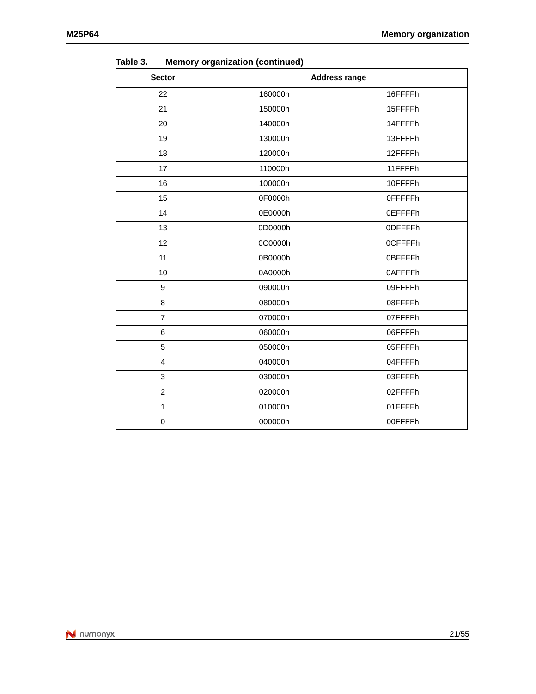| <b>Sector</b>  | `<br><b>Address range</b> |                 |
|----------------|---------------------------|-----------------|
| 22             | 160000h                   | 16FFFFh         |
| 21             | 150000h                   | 15FFFFh         |
| 20             | 140000h                   | 14FFFFh         |
| 19             | 130000h                   | 13FFFFh         |
| 18             | 120000h                   | 12FFFFh         |
| 17             | 110000h                   | 11FFFFh         |
| 16             | 100000h                   | 10FFFFh         |
| 15             | 0F0000h                   | <b>OFFFFFFh</b> |
| 14             | 0E0000h                   | <b>OEFFFFh</b>  |
| 13             | 0D0000h                   | 0DFFFFh         |
| 12             | 0C0000h                   | <b>OCFFFFh</b>  |
| 11             | 0B0000h                   | 0BFFFFh         |
| 10             | 0A0000h                   | 0AFFFFh         |
| 9              | 090000h                   | 09FFFFh         |
| 8              | 080000h                   | 08FFFFh         |
| $\overline{7}$ | 070000h                   | 07FFFFh         |
| 6              | 060000h                   | 06FFFFh         |
| 5              | 050000h                   | 05FFFFh         |
| 4              | 040000h                   | 04FFFFh         |
| 3              | 030000h                   | 03FFFFh         |
| $\overline{2}$ | 020000h                   | 02FFFFh         |
| $\mathbf{1}$   | 010000h                   | 01FFFFh         |
| 0              | 000000h                   | 00FFFFh         |

**Table 3. Memory organization (continued)**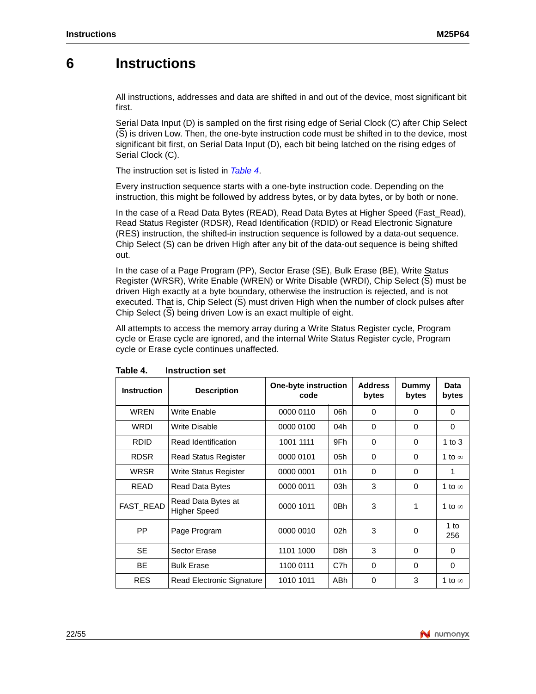## <span id="page-21-0"></span>**6 Instructions**

All instructions, addresses and data are shifted in and out of the device, most significant bit first.

Serial Data Input (D) is sampled on the first rising edge of Serial Clock (C) after Chip Select (S) is driven Low. Then, the one-byte instruction code must be shifted in to the device, most significant bit first, on Serial [Data Inpu](#page-21-1)t (D), each bit being latched on the rising edges of Serial Clock (C).

The instruction set is listed in *Table 4*.

Every instruction sequence starts with a one-byte instruction code. Depending on the instruction, this might be followed by address bytes, or by data bytes, or by both or none.

In the case of a Read Data Bytes (READ), Read Data Bytes at Higher Speed (Fast\_Read), Read Status Register (RDSR), Read Identification (RDID) or Read Electronic Signature (RES) instruction, the shifted-in instruction sequence is followed by a data-out sequence. Chip Select (S) can be driven High after any bit of the data-out sequence is being shifted out.

In the case of a Page Program (PP), Sector Erase (SE), Bulk Erase (BE), Write Status Register (WRSR), Write Enable (WREN) or Write Disable (WRDI), Chip Select (S) must be driven High exactly at a byte boundary, otherwise the instruction is rejected, and is not executed. That is, Chip Select (S) must driven High when the number of clock pulses after Chip Select (S) being driven Low is an exact multiple of eight.

<span id="page-21-1"></span>All attempts to access the memory array during a Write Status Register cycle, Program cycle or Erase cycle are ignored, and the internal Write Status Register cycle, Program cycle or Erase cycle continues unaffected.

| <b>Instruction</b> | <b>Description</b>                        | One-byte instruction<br>code |                  | <b>Address</b><br>bytes | Dummy<br>bytes | Data<br>bytes |
|--------------------|-------------------------------------------|------------------------------|------------------|-------------------------|----------------|---------------|
| <b>WREN</b>        | <b>Write Enable</b>                       | 0000 0110                    | 06h              | $\Omega$                | $\Omega$       | $\Omega$      |
| <b>WRDI</b>        | Write Disable                             | 0000 0100                    | 04h              | $\Omega$                | 0              | 0             |
| <b>RDID</b>        | Read Identification                       | 1001 1111                    | 9Fh              | 0                       | $\Omega$       | 1 to $3$      |
| <b>RDSR</b>        | <b>Read Status Register</b>               | 0000 0101                    | 05h              | $\Omega$                | $\Omega$       | 1 to $\infty$ |
| <b>WRSR</b>        | Write Status Register                     | 0000 0001                    | 01h              | $\Omega$                | 0              | 1             |
| <b>READ</b>        | Read Data Bytes                           | 0000 0011                    | 03h              | 3                       | $\Omega$       | 1 to $\infty$ |
| FAST_READ          | Read Data Bytes at<br><b>Higher Speed</b> | 0000 1011                    | 0Bh              | 3                       | 1              | 1 to $\infty$ |
| PP.                | Page Program                              | 0000 0010                    | 02 <sub>h</sub>  | 3                       | $\Omega$       | 1 to<br>256   |
| <b>SE</b>          | Sector Erase                              | 1101 1000                    | D <sub>8</sub> h | 3                       | $\Omega$       | 0             |
| <b>BE</b>          | <b>Bulk Erase</b>                         | 1100 0111                    | C7h              | $\Omega$                | $\Omega$       | $\Omega$      |
| <b>RES</b>         | <b>Read Electronic Signature</b>          | 1010 1011                    | ABh              | 0                       | 3              | 1 to $\infty$ |

Table 4. **Instruction set** 

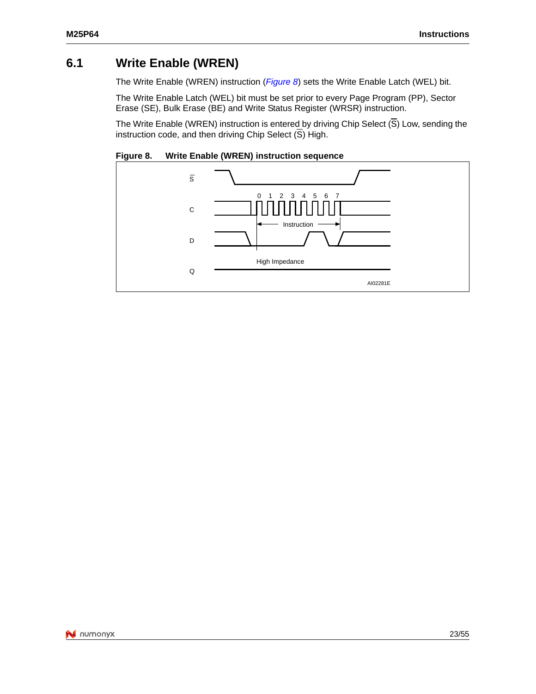## <span id="page-22-0"></span>**6.1 Write Enable (WREN)**

The Write Enable (WREN) instruction (*Figure 8*) sets the Write Enable Latch (WEL) bit.

The Write Enable Latch (WEL) bit must be set prior to every Page Program (PP), Sector Erase (SE), Bulk Erase (BE) and Write Status Register (WRSR) instruction.

<span id="page-22-1"></span>The Write Enable (WREN) instruction is entered by driving Chip Select  $(\overline{S})$  Low, sending the instruction code, and then driving Chip Select  $(\overline{S})$  High.

**Figure 8. Write Enable (WREN) instruction sequence**

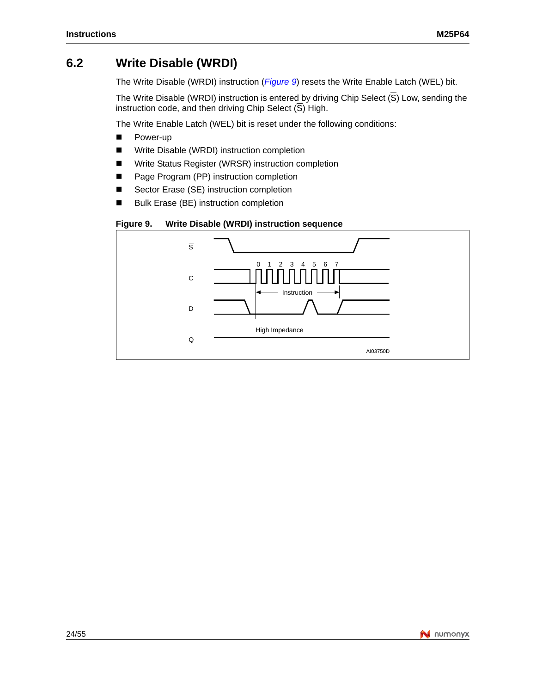## <span id="page-23-0"></span>**6.2 Write Disable (WRDI)**

The Write Disable (WRDI) instruction (*Figure 9*) resets the Write Enable Latch (WEL) bit.

The Write Disable (WRDI) instruction is entered by driving Chip Select  $(\overline{S})$  Low, sending the instruction code, and then driving Chip Select  $(\overline{S})$  High.

The Write Enable Latch (WEL) bit is reset under the following conditions:

- Power-up
- Write Disable (WRDI) instruction completion
- Write Status Register (WRSR) instruction completion
- Page Program (PP) instruction completion
- Sector Erase (SE) instruction completion
- <span id="page-23-1"></span>■ Bulk Erase (BE) instruction completion

#### **Figure 9. Write Disable (WRDI) instruction sequence**

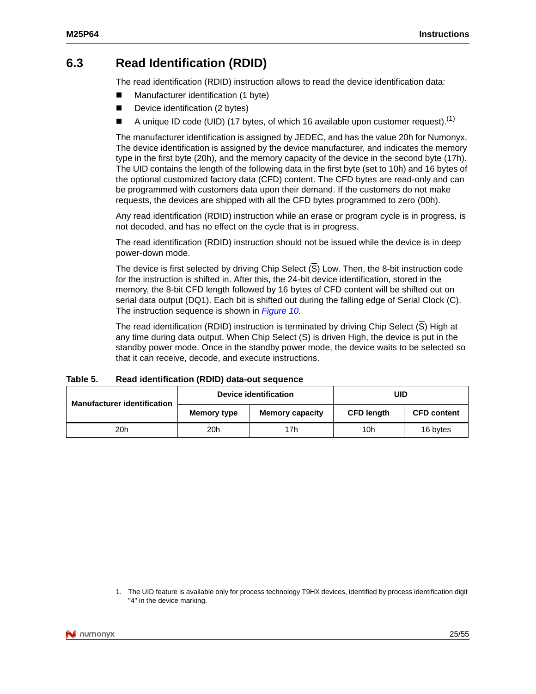## <span id="page-24-0"></span>**6.3 Read Identification (RDID)**

The read identification (RDID) instruction allows to read the device identification data:

- Manufacturer identification (1 byte)
- Device identification (2 bytes)
- A unique ID code (UID) (17 bytes, of which 16 available upon customer request).<sup>(1)</sup>

The manufacturer identification is assigned by JEDEC, and has the value 20h for Numonyx. The device identification is assigned by the device manufacturer, and indicates the memory type in the first byte (20h), and the memory capacity of the device in the second byte (17h). The UID contains the length of the following data in the first byte (set to 10h) and 16 bytes of the optional customized factory data (CFD) content. The CFD bytes are read-only and can be programmed with customers data upon their demand. If the customers do not make requests, the devices are shipped with all the CFD bytes programmed to zero (00h).

Any read identification (RDID) instruction while an erase or program cycle is in progress, is not decoded, and has no effect on the cycle that is in progress.

The read identification (RDID) instruction should not be issued while the device is in deep power-down mode.

The device is first selected by driving Chip Select (S) Low. Then, the 8-bit instruction code for the instruction is shifted in. After this, the 24-bit device identification, stored in the memory, the 8-bit CFD length followe[d by 16 by](#page-25-5)tes of CFD content will be shifted out on serial data output (DQ1). Each bit is shifted out during the falling edge of Serial Clock (C). The instruction sequence is shown in *Figure 10*.

The read identification (RDID) instruction is terminated by driving Chip Select  $(\overline{S})$  High at any time during data output. When Chip Select  $(S)$  is driven High, the device is put in the standby power mode. Once in the standby power mode, the device waits to be selected so that it can receive, decode, and execute instructions.

#### <span id="page-24-1"></span>**Table 5. Read identification (RDID) data-out sequence**

| <b>Manufacturer identification</b> |             | Device identification  | UID               |                    |  |
|------------------------------------|-------------|------------------------|-------------------|--------------------|--|
|                                    | Memory type | <b>Memory capacity</b> | <b>CFD length</b> | <b>CFD content</b> |  |
| 20 <sub>h</sub>                    | 20h         | 17h                    | 10h               | 16 bytes           |  |

<sup>1.</sup> The UID feature is available only for process technology T9HX devices, identified by process identification digit "4" in the device marking.

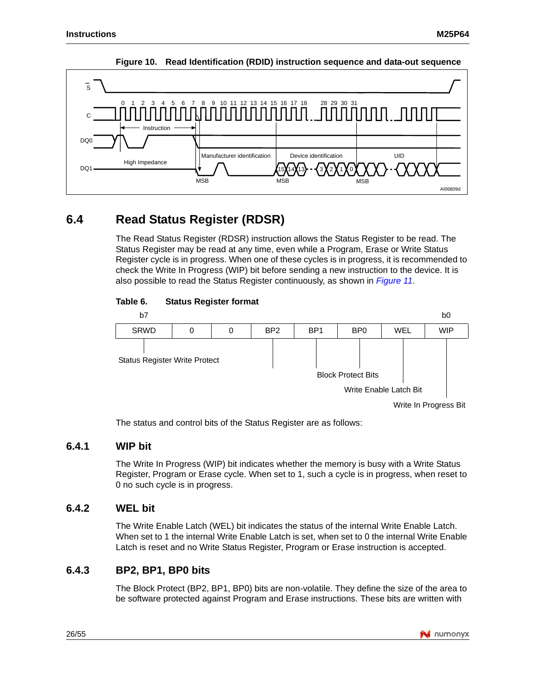

#### <span id="page-25-5"></span>**Figure 10. Read Identification (RDID) instruction sequence and data-out sequence**

## <span id="page-25-0"></span>**6.4 Read Status Register (RDSR)**

The Read Status Register (RDSR) instruction allows the Status Register to be read. The Status Register may be read at any time, even while a Program, Erase or Write Status Register cycle is in progress. When one of these cycles is in progre[ss, it is rec](#page-26-1)ommended to check the Write In Progress (WIP) bit before sending a new instruction to the device. It is also possible to read the Status Register continuously, as shown in *Figure 11*.



#### <span id="page-25-4"></span>Table 6. **Status Register format**

The status and control bits of the Status Register are as follows:

### <span id="page-25-1"></span>**6.4.1 WIP bit**

The Write In Progress (WIP) bit indicates whether the memory is busy with a Write Status Register, Program or Erase cycle. When set to 1, such a cycle is in progress, when reset to 0 no such cycle is in progress.

### <span id="page-25-2"></span>**6.4.2 WEL bit**

The Write Enable Latch (WEL) bit indicates the status of the internal Write Enable Latch. When set to 1 the internal Write Enable Latch is set, when set to 0 the internal Write Enable Latch is reset and no Write Status Register, Program or Erase instruction is accepted.

### <span id="page-25-3"></span>**6.4.3 BP2, BP1, BP0 bits**

The Block Protect (BP2, BP1, BP0) bits are non-volatile. They define the size of the area to be software protected against Program and Erase instructions. These bits are written with

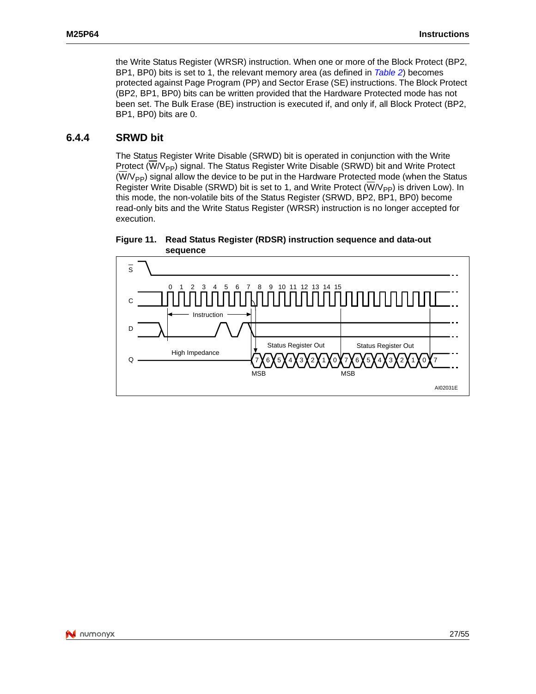the Write Status Register (WRSR) instruction. When one or more of the Block Protect (BP2, BP1, BP0) bits is set to 1, the relevant memory area (as defined in *Table 2*) becomes protected against Page Program (PP) and Sector Erase (SE) instructions. The Block Protect (BP2, BP1, BP0) bits can be written provided that the Hardware Protected mode has not been set. The Bulk Erase (BE) instruction is executed if, and only if, all Block Protect (BP2, BP1, BP0) bits are 0.

### <span id="page-26-0"></span>**6.4.4 SRWD bit**

The Status Register Write Disable (SRWD) bit is operated in conjunction with the Write Protect  $(W/V_{\text{PP}})$  signal. The Status Register Write Disable (SRWD) bit and Write Protect  $(\overline{W}/V_{\text{PP}})$  signal allow the device to be put in the Hardware Protected mode (when the Status Register Write Disable (SRWD) bit is set to 1, and Write Protect  $(\overline{W/V_{\text{PP}}})$  is driven Low). In this mode, the non-volatile bits of the Status Register (SRWD, BP2, BP1, BP0) become read-only bits and the Write Status Register (WRSR) instruction is no longer accepted for execution.



<span id="page-26-1"></span>**Figure 11. Read Status Register (RDSR) instruction sequence and data-out sequence**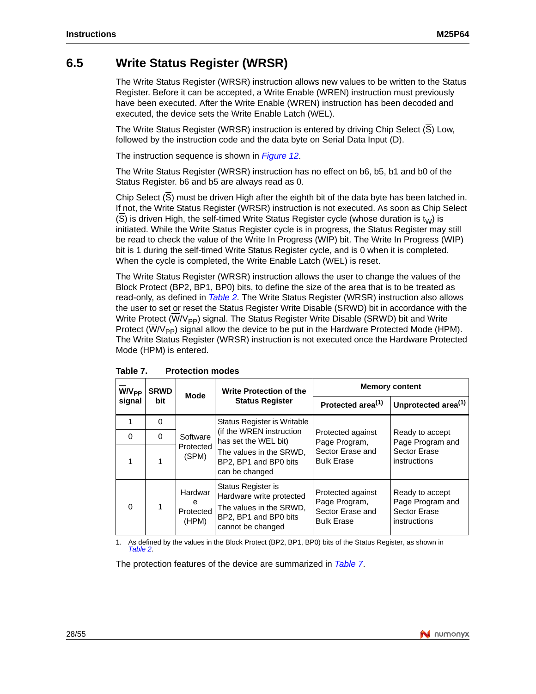## <span id="page-27-0"></span>**6.5 Write Status Register (WRSR)**

The Write Status Register (WRSR) instruction allows new values to be written to the Status Register. Before it can be accepted, a Write Enable (WREN) instruction must previously have been executed. After the Write Enable (WREN) instruction has been decoded and executed, the device sets the Write Enable Latch (WEL).

The Write Status Register (WRSR) in[struction is](#page-28-0) entered by driving Chip Select (S) Low, followed by the instruction code and the data byte on Serial Data Input (D).

The instruction sequence is shown in *Figure 12*.

The Write Status Register (WRSR) instruction has no effect on b6, b5, b1 and b0 of the Status Register. b6 and b5 are always read as 0.

Chip Select (S) must be driven High after the eighth bit of the data byte has been latched in. If not, the Write Status Register (WRSR) instruction is not executed. As soon as Chip Select (S) is driven High, the self-timed Write Status Register cycle (whose duration is  $t_{W}$ ) is initiated. While the Write Status Register cycle is in progress, the Status Register may still be read to check the value of the Write In Progress (WIP) bit. The Write In Progress (WIP) bit is 1 during the self-timed Write Status Register cycle, and is 0 when it is completed. When the cycle is completed, the Write Enable Latch (WEL) is reset.

The Write Status Regist[er \(WRS](#page-14-1)R) instruction allows the user to change the values of the Block Protect (BP2, BP1, BP0) bits, to define the size of the area that is to be treated as read-only, as defined in *Table 2*. The Write Status Register (WRSR) instruction also allows the user to set or reset the Status Register Write Disable (SRWD) bit in accordance with the Write Protect (W/ $V_{\text{PP}}$ ) signal. The Status Register Write Disable (SRWD) bit and Write Protect  $(W/V_{\text{PP}})$  signal allow the device to be put in the Hardware Protected Mode (HPM). The Write Status Register (WRSR) instruction is not executed once the Hardware Protected Mode (HPM) is entered.

| <b>W/V<sub>PP</sub></b> | <b>SRWD</b> | <b>Mode</b>                        | <b>Write Protection of the</b>                                                                                          | <b>Memory content</b>                                                       |                                                                     |  |
|-------------------------|-------------|------------------------------------|-------------------------------------------------------------------------------------------------------------------------|-----------------------------------------------------------------------------|---------------------------------------------------------------------|--|
| signal                  | bit         |                                    | <b>Status Register</b>                                                                                                  | Protected area <sup>(1)</sup>                                               | Unprotected area <sup>(1)</sup>                                     |  |
|                         | $\Omega$    |                                    | Status Register is Writable                                                                                             |                                                                             |                                                                     |  |
| $\Omega$                | $\Omega$    | Software                           | (if the WREN instruction)<br>has set the WEL bit)                                                                       | Protected against<br>Page Program,                                          | Ready to accept<br>Page Program and                                 |  |
|                         |             | Protected<br>(SPM)                 | The values in the SRWD,<br>BP2, BP1 and BP0 bits<br>can be changed                                                      | Sector Erase and<br><b>Bulk Erase</b>                                       | Sector Erase<br>instructions                                        |  |
| $\Omega$                |             | Hardwar<br>e<br>Protected<br>(HPM) | Status Register is<br>Hardware write protected<br>The values in the SRWD,<br>BP2, BP1 and BP0 bits<br>cannot be changed | Protected against<br>Page Program,<br>Sector Erase and<br><b>Bulk Erase</b> | Ready to accept<br>Page Program and<br>Sector Erase<br>instructions |  |

<span id="page-27-1"></span>Table 7. **Protection modes** 

1. As defined by the values in the Block Protect (BP2, BP1, BP0) bits [of the Sta](#page-27-1)tus Register, as shown in *Table 2*.

The protection features of the device are summarized in *Table 7*.

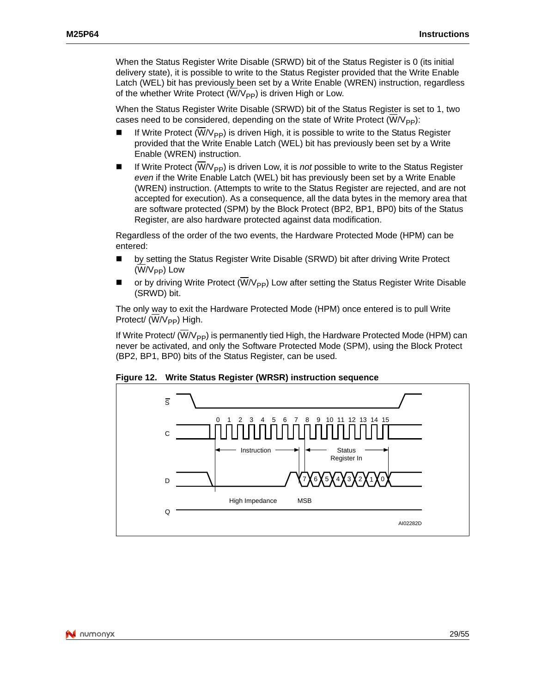When the Status Register Write Disable (SRWD) bit of the Status Register is 0 (its initial delivery state), it is possible to write to the Status Register provided that the Write Enable Latch (WEL) bit has previously been set by a Write Enable (WREN) instruction, regardless of the whether Write Protect ( $\overline{W}/V_{\text{PP}}$ ) is driven High or Low.

When the Status Register Write Disable (SRWD) bit of the Status Register is set to 1, two cases need to be considered, depending on the state of Write Protect  $(\overline{W}/V_{\text{PP}})$ :

- If Write Protect ( $\overline{W}/V_{\text{PP}}$ ) is driven High, it is possible to write to the Status Register provided that the Write Enable Latch (WEL) bit has previously been set by a Write Enable (WREN) instruction.
- If Write Protect  $(W/V_{\text{PP}})$  is driven Low, it is *not* possible to write to the Status Register *even* if the Write Enable Latch (WEL) bit has previously been set by a Write Enable (WREN) instruction. (Attempts to write to the Status Register are rejected, and are not accepted for execution). As a consequence, all the data bytes in the memory area that are software protected (SPM) by the Block Protect (BP2, BP1, BP0) bits of the Status Register, are also hardware protected against data modification.

Regardless of the order of the two events, the Hardware Protected Mode (HPM) can be entered:

- by setting the Status Register Write Disable (SRWD) bit after driving Write Protect  $(\overline{W}/V_{PP})$  Low
- or by driving Write Protect ( $\overline{W}/V_{\text{PP}}$ ) Low after setting the Status Register Write Disable (SRWD) bit.

The only way to exit the Hardware Protected Mode (HPM) once entered is to pull Write Protect/ (W/V<sub>PP</sub>) High.

<span id="page-28-0"></span>If Write Protect/  $(W/V_{PP})$  is permanently tied High, the Hardware Protected Mode (HPM) can never be activated, and only the Software Protected Mode (SPM), using the Block Protect (BP2, BP1, BP0) bits of the Status Register, can be used.



**Figure 12. Write Status Register (WRSR) instruction sequence**

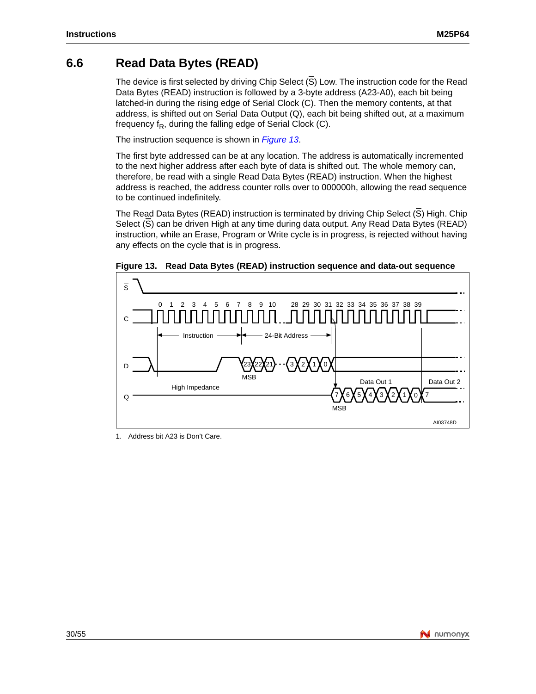## <span id="page-29-0"></span>**6.6 Read Data Bytes (READ)**

The device is first selected by driving Chip Select  $(\overline{S})$  Low. The instruction code for the Read Data Bytes (READ) instruction is followed by a 3-byte address (A23-A0), each bit being latched-in during the rising edge of Serial Clock (C). Then the memory contents, at that address, is shifted out on Serial Data [Output \(Q](#page-29-1)), each bit being shifted out, at a maximum frequency  $f_R$ , during the falling edge of Serial Clock (C).

The instruction sequence is shown in *Figure 13*.

The first byte addressed can be at any location. The address is automatically incremented to the next higher address after each byte of data is shifted out. The whole memory can, therefore, be read with a single Read Data Bytes (READ) instruction. When the highest address is reached, the address counter rolls over to 000000h, allowing the read sequence to be continued indefinitely.

The Read Data Bytes (READ) instruction is terminated by driving Chip Select (S) High. Chip Select (S) can be driven High at any time during data output. Any Read Data Bytes (READ) instruction, while an Erase, Program or Write cycle is in progress, is rejected without having any effects on the cycle that is in progress.



<span id="page-29-1"></span>**Figure 13. Read Data Bytes (READ) instruction sequence and data-out sequence**

1. Address bit A23 is Don't Care.

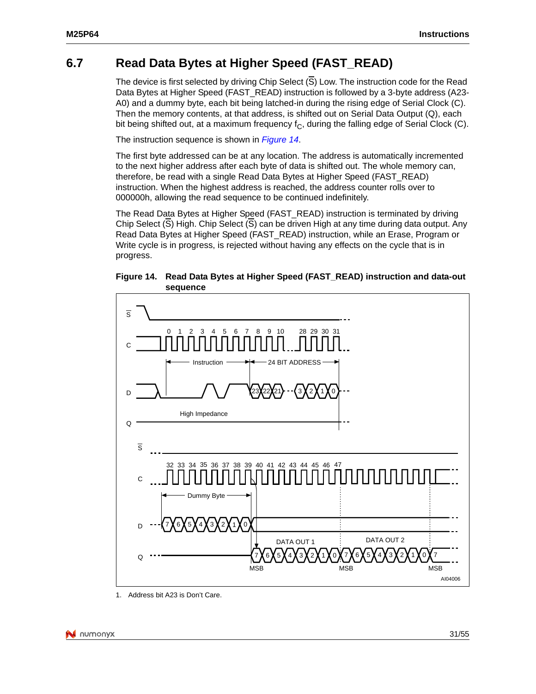## <span id="page-30-0"></span>**6.7 Read Data Bytes at Higher Speed (FAST\_READ)**

The device is first selected by driving Chip Select  $(\overline{S})$  Low. The instruction code for the Read Data Bytes at Higher Speed (FAST\_READ) instruction is followed by a 3-byte address (A23-A0) and a dummy byte, each bit being latched-in during the rising edge of Serial Clock (C). Then the memory contents, at that ad[dress, is s](#page-30-1)hifted out on Serial Data Output (Q), each bit being shifted out, at a maximum frequency  $f<sub>C</sub>$ , during the falling edge of Serial Clock (C).

The instruction sequence is shown in *Figure 14*.

The first byte addressed can be at any location. The address is automatically incremented to the next higher address after each byte of data is shifted out. The whole memory can, therefore, be read with a single Read Data Bytes at Higher Speed (FAST\_READ) instruction. When the highest address is reached, the address counter rolls over to 000000h, allowing the read sequence to be continued indefinitely.

The Read Data Bytes at Higher Speed (FAST\_READ) instruction is terminated by driving Chip Select (S) High. Chip Select (S) can be driven High at any time during data output. Any Read Data Bytes at Higher Speed (FAST\_READ) instruction, while an Erase, Program or Write cycle is in progress, is rejected without having any effects on the cycle that is in progress.

<span id="page-30-1"></span>**Figure 14. Read Data Bytes at Higher Speed (FAST\_READ) instruction and data-out sequence**



1. Address bit A23 is Don't Care.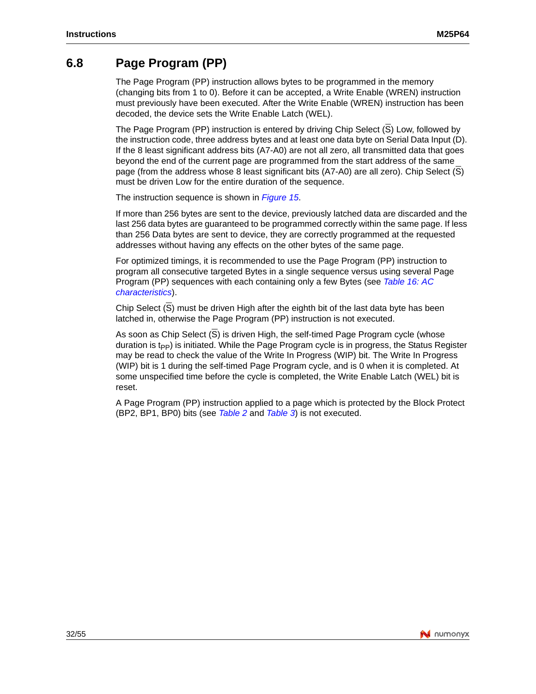### <span id="page-31-0"></span>**6.8 Page Program (PP)**

The Page Program (PP) instruction allows bytes to be programmed in the memory (changing bits from 1 to 0). Before it can be accepted, a Write Enable (WREN) instruction must previously have been executed. After the Write Enable (WREN) instruction has been decoded, the device sets the Write Enable Latch (WEL).

The Page Program (PP) instruction is entered by driving Chip Select  $(S)$  Low, followed by the instruction code, three address bytes and at least one data byte on Serial Data Input (D). If the 8 least significant address bits (A7-A0) are not all zero, all transmitted data that goes beyond the end of the current page are programmed from the start address of the same page (from the address whose 8 leas[t significan](#page-32-0)t bits (A7-A0) are all zero). Chip Select (S) must be driven Low for the entire duration of the sequence.

The instruction sequence is shown in *Figure 15*.

If more than 256 bytes are sent to the device, previously latched data are discarded and the last 256 data bytes are guaranteed to be programmed correctly within the same page. If less than 256 Data bytes are sent to device, they are correctly programmed at the requested addresses without having any effects on the other bytes of the same page.

For optimized timings, it is recommended to use the Page Program ([PP\) instruction to](#page-42-0)  [program all con](#page-42-0)secutive targeted Bytes in a single sequence versus using several Page Program (PP) sequences with each containing only a few Bytes (see *Table 16: AC characteristics*).

Chip Select (S) must be driven High after the eighth bit of the last data byte has been latched in, otherwise the Page Program (PP) instruction is not executed.

As soon as Chip Select (S) is driven High, the self-timed Page Program cycle (whose duration is  $t_{\text{pp}}$ ) is initiated. While the Page Program cycle is in progress, the Status Register may be read to check the value of the Write In Progress (WIP) bit. The Write In Progress (WIP) bit is 1 during the self-timed Page Program cycle, and is 0 when it is completed. At some unspecified time before the cycle is completed, the Write Enable Latch (WEL) bit is reset.

A Page Program (PP) instruction applied to a page which is protected by the Block Protect (BP2, BP1, BP0) bits (see *Table 2* and *Table 3*) is not executed.

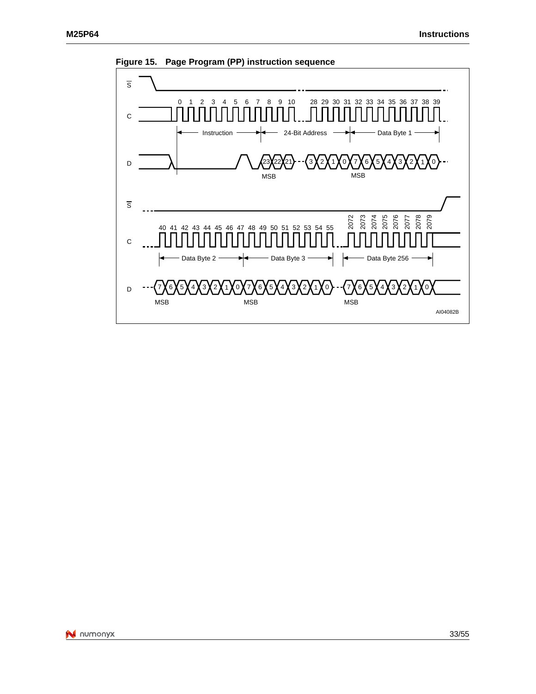

<span id="page-32-0"></span>**Figure 15. Page Program (PP) instruction sequence**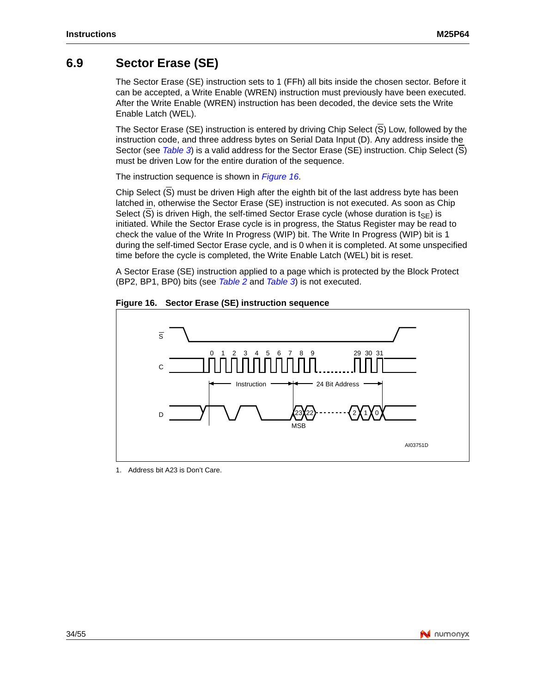### <span id="page-33-0"></span>**6.9 Sector Erase (SE)**

The Sector Erase (SE) instruction sets to 1 (FFh) all bits inside the chosen sector. Before it can be accepted, a Write Enable (WREN) instruction must previously have been executed. After the Write Enable (WREN) instruction has been decoded, the device sets the Write Enable Latch (WEL).

The Sector [Erase \(S](#page-17-0)E) instruction is entered by driving Chip Select  $(\overline{S})$  Low, followed by the instruction code, and three address bytes on Serial Data Input (D). Any address inside the Sector (see *Table 3*) is a valid addres[s for the Se](#page-33-1)ctor Erase (SE) instruction. Chip Select (S) must be driven Low for the entire duration of the sequence.

The instruction sequence is shown in *Figure 16*.

Chip Select (S) must be driven High after the eighth bit of the last address byte has been latched in, otherwise the Sector Erase (SE) instruction is not executed. As soon as Chip Select  $(\overline{S})$  is driven High, the self-timed Sector Erase cycle (whose duration is t<sub>SF</sub>) is initiated. While the Sector Erase cycle is in progress, the Status Register may be read to check the value of the Write In Progress (WIP) bit. The Write In Progress (WIP) bit is 1 during the self-timed Sector Erase cycle, and is 0 when it is completed. At some unspecified time before the cycle is co[mpleted](#page-14-1), the [Write E](#page-17-0)nable Latch (WEL) bit is reset.

<span id="page-33-1"></span>A Sector Erase (SE) instruction applied to a page which is protected by the Block Protect (BP2, BP1, BP0) bits (see *Table 2* and *Table 3*) is not executed.





1. Address bit A23 is Don't Care.

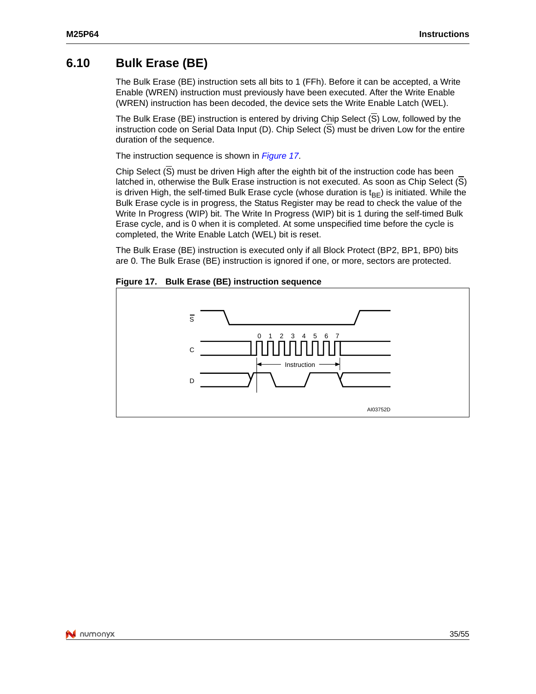### <span id="page-34-0"></span>**6.10 Bulk Erase (BE)**

The Bulk Erase (BE) instruction sets all bits to 1 (FFh). Before it can be accepted, a Write Enable (WREN) instruction must previously have been executed. After the Write Enable (WREN) instruction has been decoded, the device sets the Write Enable Latch (WEL).

The Bulk Erase (BE) instruction is entered by driving Chip Select (S) Low, followed by the instruction code on Serial Data Input [\(D\). Chip S](#page-34-1)elect  $(S)$  must be driven Low for the entire duration of the sequence.

The instruction sequence is shown in *Figure 17*.

Chip Select (S) must be driven High after the eighth bit of the instruction code has been latched in, otherwise the Bulk Erase instruction is not executed. As soon as Chip Select (S) is driven High, the self-timed Bulk Erase cycle (whose duration is  $t_{BF}$ ) is initiated. While the Bulk Erase cycle is in progress, the Status Register may be read to check the value of the Write In Progress (WIP) bit. The Write In Progress (WIP) bit is 1 during the self-timed Bulk Erase cycle, and is 0 when it is completed. At some unspecified time before the cycle is completed, the Write Enable Latch (WEL) bit is reset.

<span id="page-34-1"></span>The Bulk Erase (BE) instruction is executed only if all Block Protect (BP2, BP1, BP0) bits are 0. The Bulk Erase (BE) instruction is ignored if one, or more, sectors are protected.



**Figure 17. Bulk Erase (BE) instruction sequence**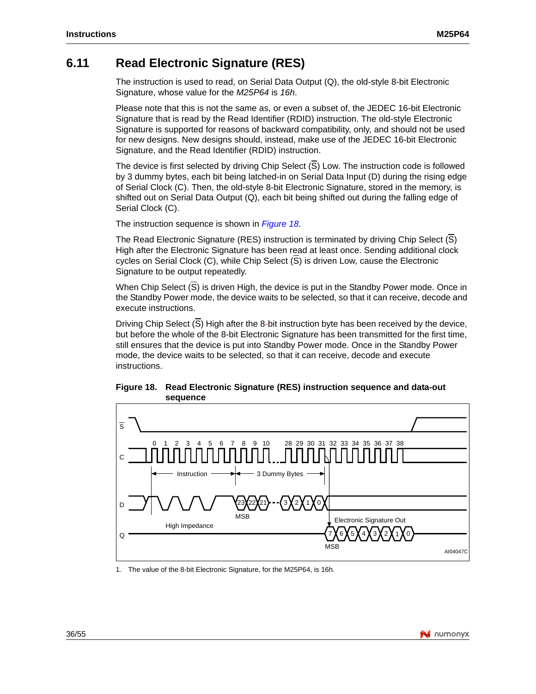## <span id="page-35-0"></span>**6.11 Read Electronic Signature (RES)**

The instruction is used to read, on Serial Data Output (Q), the old-style 8-bit Electronic Signature, whose value for the *M25P64* is *16h*.

Please note that this is not the same as, or even a subset of, the JEDEC 16-bit Electronic Signature that is read by the Read Identifier (RDID) instruction. The old-style Electronic Signature is supported for reasons of backward compatibility, only, and should not be used for new designs. New designs should, instead, make use of the JEDEC 16-bit Electronic Signature, and the Read Identifier (RDID) instruction.

The device is first selected by driving Chip Select (S) Low. The instruction code is followed by 3 dummy bytes, each bit being latched-in on Serial Data Input (D) during the rising edge of Serial Clock (C). Then, the old-style 8-bit Electronic Signature, stored in the memory, is shifted out on Serial Data Output (Q), [each bit b](#page-35-1)eing shifted out during the falling edge of Serial Clock (C).

The instruction sequence is shown in *Figure 18*.

The Read Electronic Signature (RES) instruction is terminated by driving Chip Select (S) High after the Electronic Signature has been read at least once. Sending additional clock cycles on Serial Clock (C), while Chip Select (S) is driven Low, cause the Electronic Signature to be output repeatedly.

When Chip Select (S) is driven High, the device is put in the Standby Power mode. Once in the Standby Power mode, the device waits to be selected, so that it can receive, decode and execute instructions.

Driving Chip Select (S) High after the 8-bit instruction byte has been received by the device, but before the whole of the 8-bit Electronic Signature has been transmitted for the first time, still ensures that the device is put into Standby Power mode. Once in the Standby Power mode, the device waits to be selected, so that it can receive, decode and execute instructions.

<span id="page-35-1"></span>



1. The value of the 8-bit Electronic Signature, for the M25P64, is 16h.

![](_page_35_Picture_13.jpeg)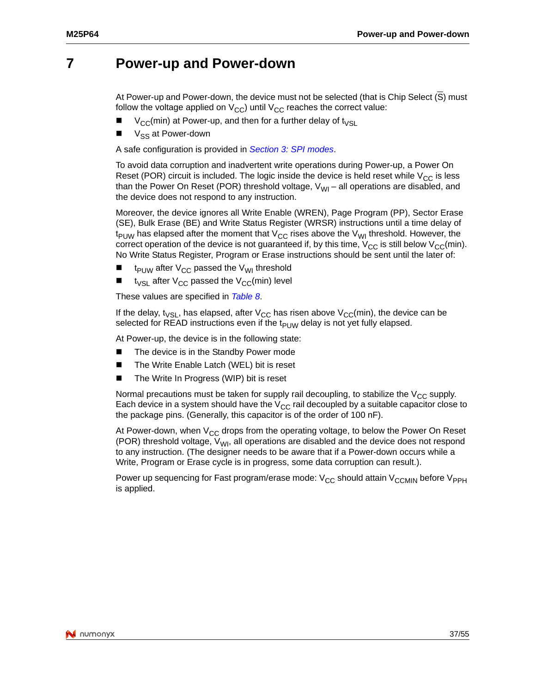## <span id="page-36-0"></span>**7 Power-up and Power-down**

At Power-up and Power-down, the device must not be selected (that is Chip Select (S) must follow the voltage applied on  $V_{CC}$ ) until  $V_{CC}$  reaches the correct value:

- $V_{CC}$ (min) at Power-up, and th[en for a further delay o](#page-10-0)f t<sub>VSL</sub>
- V<sub>SS</sub> at Power-down

A safe configuration is provided in *Section 3: SPI modes*.

To avoid data corruption and inadvertent write operations during Power-up, a Power On Reset (POR) circuit is included. The logic inside the device is held reset while  $V_{CC}$  is less than the Power On Reset (POR) threshold voltage,  $V_{\text{WI}}$  – all operations are disabled, and the device does not respond to any instruction.

Moreover, the device ignores all Write Enable (WREN), Page Program (PP), Sector Erase (SE), Bulk Erase (BE) and Write Status Register (WRSR) instructions until a time delay of  $t_{\text{PDW}}$  has elapsed after the moment that  $V_{\text{CC}}$  rises above the V<sub>WI</sub> threshold. However, the correct operation of the device is not guaranteed if, by this time,  $V_{CC}$  is still below  $V_{CC}(min)$ . No Write Status Register, Program or Erase instructions should be sent until the later of:

- $\blacksquare$  t<sub>PUW</sub> after V<sub>CC</sub> passed the V<sub>WI</sub> threshold
- $t_{VSI}$  after V<sub>CC</sub> passed the V<sub>CC</sub>(min) level

These values are specified in *Table 8*.

If the delay, t<sub>VSL</sub>, has elapsed, after V<sub>CC</sub> has risen above V<sub>CC</sub>(min), the device can be selected for READ instructions even if the  $t_{PI\,IW}$  delay is not yet fully elapsed.

At Power-up, the device is in the following state:

- <span id="page-36-1"></span>The device is in the Standby Power mode
- The Write Enable Latch (WEL) bit is reset
- The Write In Progress (WIP) bit is reset

Normal precautions must be taken for supply rail decoupling, to stabilize the  $V_{CC}$  supply. Each device in a system should have the  $V_{CC}$  rail decoupled by a suitable capacitor close to the package pins. (Generally, this capacitor is of the order of 100 nF).

At Power-down, when  $V_{CC}$  drops from the operating voltage, to below the Power On Reset (POR) threshold voltage,  $V_{WI}$ , all operations are disabled and the device does not respond to any instruction. (The designer needs to be aware that if a Power-down occurs while a Write, Program or Erase cycle is in progress, some data corruption can result.).

Power up sequencing for Fast program/erase mode:  $V_{CC}$  should attain  $V_{CCMM}$  before  $V_{PPH}$ is applied.

![](_page_36_Picture_20.jpeg)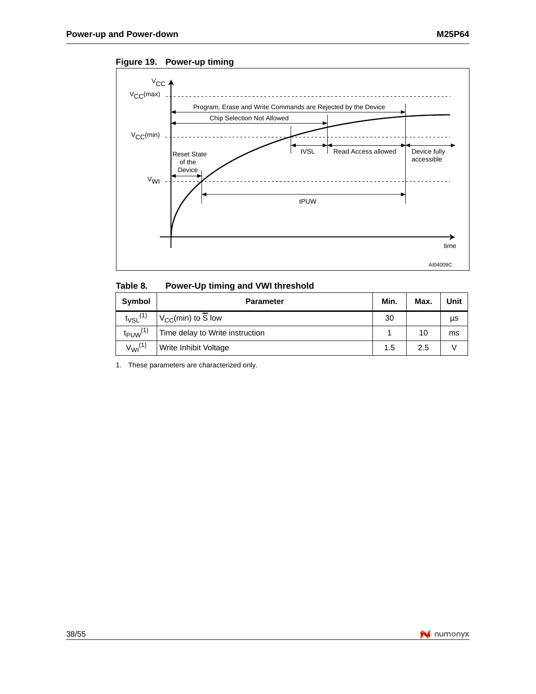![](_page_37_Figure_2.jpeg)

<span id="page-37-1"></span>**Figure 19. Power-up timing**

<span id="page-37-0"></span>

| Table 8. | Power-Up timing and VWI threshold |  |  |  |
|----------|-----------------------------------|--|--|--|
|          |                                   |  |  |  |

| Symbol                   | <b>Parameter</b>                | Min. | Max. | Unit |
|--------------------------|---------------------------------|------|------|------|
| $t_{\text{VSL}}^{(1)}$   | $V_{CC}$ (min) to S low         | 30   |      | μs   |
| $t_{PUW}$ <sup>(1)</sup> | Time delay to Write instruction |      | 10   | ms   |
| $V_{Wl}^{(1)}$           | Write Inhibit Voltage           | 1.5  | 2.5  |      |

1. These parameters are characterized only.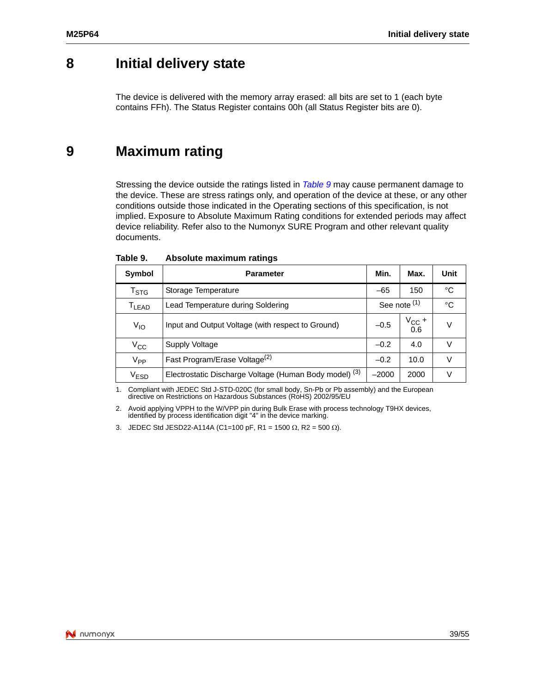## <span id="page-38-0"></span>**8 Initial delivery state**

The device is delivered with the memory array erased: all bits are set to 1 (each byte contains FFh). The Status Register contains 00h (all Status Register bits are 0).

## <span id="page-38-1"></span>**9 Maximum rating**

Stressing the device outside the ratings listed in *Table 9* may cause permanent damage to the device. These are stress ratings only, and operation of the device at these, or any other conditions outside those indicated in the Operating sections of this specification, is not implied. Exposure to Absolute Maximum Rating conditions for extended periods may affect device reliability. Refer also to the Numonyx SURE Program and other relevant quality documents.

| Symbol                    | <b>Parameter</b>                                                  | Min.         | Max.               | Unit |
|---------------------------|-------------------------------------------------------------------|--------------|--------------------|------|
| $\mathsf{T}_{\text{STG}}$ | Storage Temperature                                               | $-65$        | 150                | °C   |
| T <sub>LEAD</sub>         | Lead Temperature during Soldering                                 | See note (1) |                    | °C   |
| $V_{IO}$                  | Input and Output Voltage (with respect to Ground)                 | $-0.5$       | $V_{\rm CC} + 0.6$ | V    |
| $V_{CC}$                  | Supply Voltage                                                    | $-0.2$       | 4.0                |      |
| V <sub>PP</sub>           | Fast Program/Erase Voltage <sup>(2)</sup>                         | $-0.2$       | 10.0               | V    |
| $\rm V_{ESD}$             | Electrostatic Discharge Voltage (Human Body model) <sup>(3)</sup> | $-2000$      | 2000               | V    |

<span id="page-38-2"></span>Table 9. **Absolute maximum ratings** 

1. Compliant with JEDEC Std J-STD-020C (for small body, Sn-Pb or Pb assembly) and the European directive on Restrictions on Hazardous Substances (RoHS) 2002/95/EU

2. Avoid applying VPPH to the W/VPP pin during Bulk Erase with process technology T9HX devices, identified by process identification digit "4" in the device marking.

3. JEDEC Std JESD22-A114A (C1=100 pF, R1 = 1500  $\Omega$ , R2 = 500  $\Omega$ ).

![](_page_38_Picture_11.jpeg)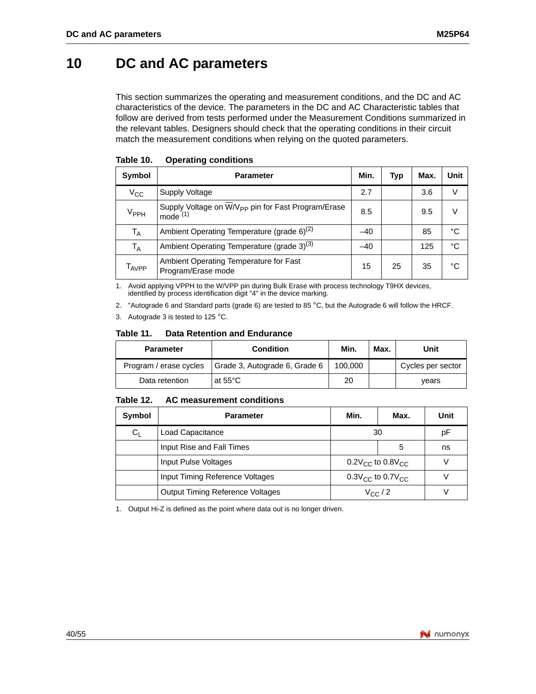## <span id="page-39-0"></span>**10 DC and AC parameters**

This section summarizes the operating and measurement conditions, and the DC and AC characteristics of the device. The parameters in the DC and AC Characteristic tables that follow are derived from tests performed under the Measurement Conditions summarized in the relevant tables. Designers should check that the operating conditions in their circuit match the measurement conditions when relying on the quoted parameters.

| Symbol            | <b>Parameter</b>                                                               | Min.  | Typ | Max. | <b>Unit</b> |
|-------------------|--------------------------------------------------------------------------------|-------|-----|------|-------------|
| $V_{\rm CC}$      | <b>Supply Voltage</b>                                                          | 2.7   |     | 3.6  |             |
| $\rm V_{PPH}$     | Supply Voltage on W/V <sub>PP</sub> pin for Fast Program/Erase<br>$mode^{(1)}$ | 8.5   |     | 9.5  | V           |
| $T_A$             | Ambient Operating Temperature (grade 6) <sup>(2)</sup>                         | $-40$ |     | 85   | °C          |
| T <sub>A</sub>    | Ambient Operating Temperature (grade 3) <sup>(3)</sup>                         | $-40$ |     | 125  | °C          |
| T <sub>AVPP</sub> | Ambient Operating Temperature for Fast<br>Program/Erase mode                   | 15    | 25  | 35   | °C          |

<span id="page-39-1"></span>Table 10. **Operating conditions** 

1. Avoid applying VPPH to the W/VPP pin during Bulk Erase with process technology T9HX devices, identified by process identification digit "4" in the device marking.

<span id="page-39-2"></span>2. "Autograde 6 and Standard parts (grade 6) are tested to 85 °C, but the Autograde 6 will follow the HRCF.

3. Autograde 3 is tested to 125 °C.

#### Table 11. **Data Retention and Endurance**

| <b>Parameter</b>       | <b>Condition</b>              | Min.    | Max. | Unit              |
|------------------------|-------------------------------|---------|------|-------------------|
| Program / erase cycles | Grade 3, Autograde 6, Grade 6 | 100,000 |      | Cycles per sector |
| Data retention         | at 55°C                       | 20      |      | vears             |

#### <span id="page-39-3"></span>**Table 12. AC measurement conditions**

| Symbol  | <b>Parameter</b>                        | Min.                               | Max.             | Unit |
|---------|-----------------------------------------|------------------------------------|------------------|------|
| $C_{L}$ | Load Capacitance                        | 30                                 |                  | рF   |
|         | Input Rise and Fall Times               |                                    | 5                | ns   |
|         | Input Pulse Voltages                    | $0.2V_{\rm CC}$ to $0.8V_{\rm CC}$ |                  |      |
|         | Input Timing Reference Voltages         | $0.3V_{\rm CC}$ to $0.7V_{\rm CC}$ |                  |      |
|         | <b>Output Timing Reference Voltages</b> |                                    | $V_{\rm CC}$ / 2 |      |

1. Output Hi-Z is defined as the point where data out is no longer driven.

![](_page_39_Picture_14.jpeg)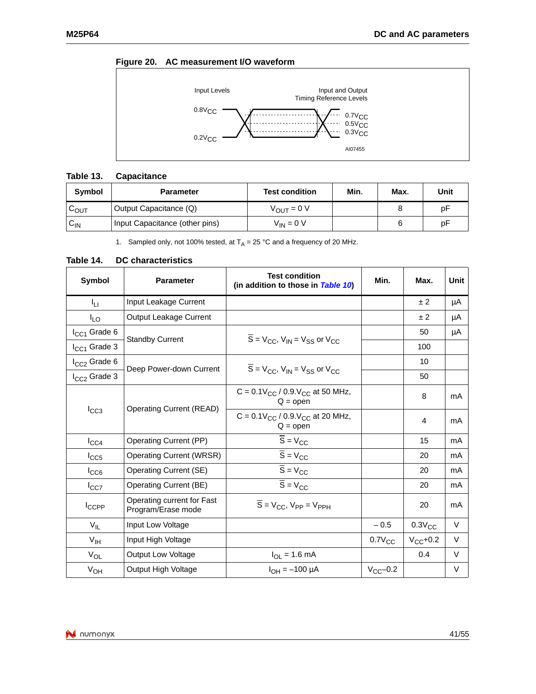![](_page_40_Figure_2.jpeg)

### <span id="page-40-2"></span>**Figure 20. AC measurement I/O waveform**

![](_page_40_Figure_4.jpeg)

#### <span id="page-40-0"></span>**Table 13. Capacitance**

| <b>Symbol</b> | <b>Parameter</b>               | <b>Test condition</b>  | Min. | Max. | Unit |
|---------------|--------------------------------|------------------------|------|------|------|
| COUT          | Output Capacitance (Q)         | $V_{\text{OUT}} = 0 V$ |      |      | рF   |
| ∨ש            | Input Capacitance (other pins) | $V_{IN} = 0 V$         |      |      | рF   |

1. Sampled only, not 100% tested, at  $T_A = 25$  °C and a frequency of 20 MHz.

#### <span id="page-40-1"></span>**Table 14. DC characteristics**

| Symbol            | <b>Parameter</b>                                 | <b>Test condition</b><br>(in addition to those in Table 10)                             | Min.          | Max.          | Unit   |
|-------------------|--------------------------------------------------|-----------------------------------------------------------------------------------------|---------------|---------------|--------|
| Īц                | Input Leakage Current                            |                                                                                         |               | ±2            | μA     |
| I <sub>LO</sub>   | Output Leakage Current                           |                                                                                         |               | ±2            | μA     |
| $I_{CC1}$ Grade 6 |                                                  | $\overline{S}$ = V <sub>CC</sub> , V <sub>IN</sub> = V <sub>SS</sub> or V <sub>CC</sub> |               | 50            | μA     |
| $I_{CC1}$ Grade 3 | <b>Standby Current</b>                           |                                                                                         |               | 100           |        |
| $I_{CC2}$ Grade 6 |                                                  | $\overline{S}$ = V <sub>CC</sub> , V <sub>IN</sub> = V <sub>SS</sub> or V <sub>CC</sub> |               | 10            |        |
| $I_{CC2}$ Grade 3 | Deep Power-down Current                          |                                                                                         |               | 50            |        |
| $I_{CC3}$         | <b>Operating Current (READ)</b>                  | C = $0.1V_{CC}$ / 0.9. $V_{CC}$ at 50 MHz,<br>$Q =$ open                                |               | 8             | mA     |
|                   |                                                  | C = $0.1V_{CC}$ / $0.9V_{CC}$ at 20 MHz,<br>$Q = open$                                  |               | 4             | mA     |
| $I_{\text{CC4}}$  | <b>Operating Current (PP)</b>                    | $\overline{S} = V_{CC}$                                                                 |               | 15            | mA     |
| $I_{CC5}$         | <b>Operating Current (WRSR)</b>                  | $\overline{S} = V_{CC}$                                                                 |               | 20            | mA     |
| $I_{CC6}$         | Operating Current (SE)                           | $\overline{S} = V_{CC}$                                                                 |               | 20            | mA     |
| $I_{CC7}$         | <b>Operating Current (BE)</b>                    | $\overline{S} = V_{CC}$                                                                 |               | 20            | mA     |
| <b>I</b> CCPP     | Operating current for Fast<br>Program/Erase mode | $\overline{S}$ = $V_{CC}$ , $V_{PP}$ = $V_{PPH}$                                        |               | 20            | mA     |
| $V_{IL}$          | Input Low Voltage                                |                                                                                         | $-0.5$        | $0.3V_{CC}$   | $\vee$ |
| V <sub>IH</sub>   | Input High Voltage                               |                                                                                         | $0.7V_{CC}$   | $V_{CC}$ +0.2 | $\vee$ |
| $V_{OL}$          | <b>Output Low Voltage</b>                        | $I_{OL} = 1.6$ mA                                                                       |               | 0.4           | $\vee$ |
| $V_{OH}$          | Output High Voltage                              | $I_{OH} = -100 \mu A$                                                                   | $V_{CC}$ -0.2 |               | V      |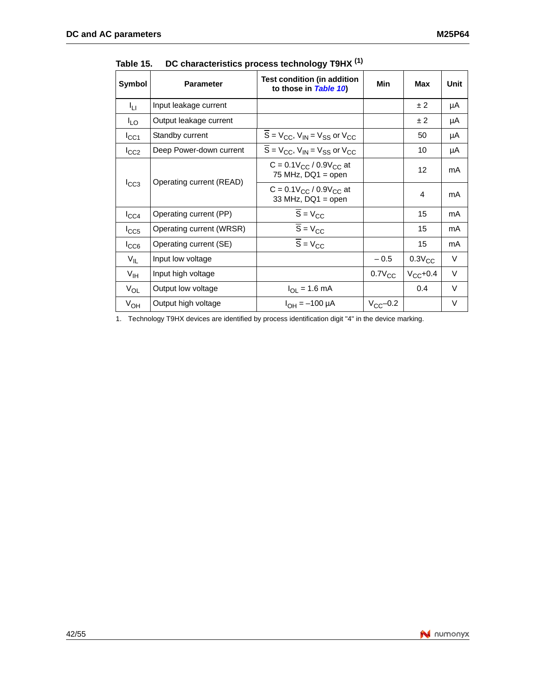| Symbol           | <b>Parameter</b>         | Test condition (in addition<br>to those in Table 10)     | Min           | Max          | Unit   |
|------------------|--------------------------|----------------------------------------------------------|---------------|--------------|--------|
| Īц               | Input leakage current    |                                                          |               | ± 2          | μA     |
| <sup>I</sup> LO  | Output leakage current   |                                                          |               | ± 2          | μA     |
| ICC1             | Standby current          | $S = V_{CC}$ , $V_{IN} = V_{SS}$ or $V_{CC}$             |               | 50           | μA     |
| $I_{CC2}$        | Deep Power-down current  | $S = V_{CC}$ , $V_{IN} = V_{SS}$ or $V_{CC}$             |               | 10           | μA     |
|                  |                          | $C = 0.1 V_{CC} / 0.9 V_{CC}$ at<br>75 MHz, $DQ1 = open$ |               | 12           | mA     |
| $I_{CC3}$        | Operating current (READ) | $C = 0.1 V_{CC} / 0.9 V_{CC}$ at<br>33 MHz, $DQ1 = open$ |               | 4            | mA     |
| $I_{\text{CC4}}$ | Operating current (PP)   | $\overline{S} = V_{CC}$                                  |               | 15           | mA     |
| $I_{CC5}$        | Operating current (WRSR) | $\overline{S}$ = $V_{CC}$                                |               | 15           | mA     |
| ICC6             | Operating current (SE)   | $\overline{S} = V_{CC}$                                  |               | 15           | mA     |
| $V_{IL}$         | Input low voltage        |                                                          | $-0.5$        | $0.3V_{CC}$  | V      |
| $V_{\text{IH}}$  | Input high voltage       |                                                          | $0.7V_{CC}$   | $V_{CC}+0.4$ | $\vee$ |
| $V_{OL}$         | Output low voltage       | $I_{OL} = 1.6$ mA                                        |               | 0.4          | $\vee$ |
| $V_{OH}$         | Output high voltage      | $I_{OH} = -100 \mu A$                                    | $V_{CC}$ -0.2 |              | V      |

<span id="page-41-0"></span>Table 15. **Table 15. DC characteristics process technol[ogy T9H](#page-39-1)X (1)**

1. Technology T9HX devices are identified by process identification digit "4" in the device marking.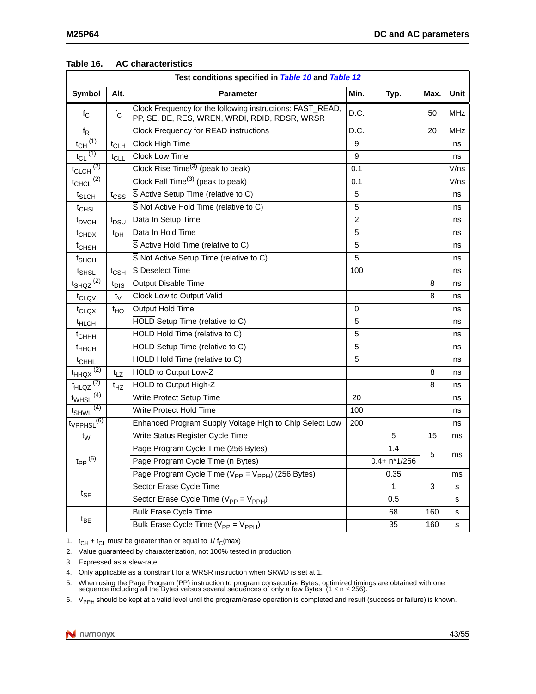<span id="page-42-0"></span>

| Table 16.<br><b>AC characteristics</b> |
|----------------------------------------|
|----------------------------------------|

| Test conditions specified in <b>Table 10</b> and Table 12 |                  |                                                                                                             |                |                 |      |             |  |
|-----------------------------------------------------------|------------------|-------------------------------------------------------------------------------------------------------------|----------------|-----------------|------|-------------|--|
| Symbol                                                    | Alt.             | <b>Parameter</b>                                                                                            | Min.           | Typ.            | Max. | <b>Unit</b> |  |
| $f_{\rm C}$                                               | $f_{\rm C}$      | Clock Frequency for the following instructions: FAST_READ,<br>PP, SE, BE, RES, WREN, WRDI, RDID, RDSR, WRSR | D.C.           |                 | 50   | <b>MHz</b>  |  |
| $f_R$                                                     |                  | Clock Frequency for READ instructions                                                                       | D.C.           |                 | 20   | <b>MHz</b>  |  |
| $t_{CH}$ <sup>(1)</sup>                                   | $t_{CLH}$        | Clock High Time                                                                                             | 9              |                 |      | ns          |  |
| $t_{CL}$ <sup>(1)</sup>                                   | $t_{CLL}$        | Clock Low Time                                                                                              | 9              |                 |      | ns          |  |
| $t_{CLCH}$ <sup>(2)</sup>                                 |                  | Clock Rise Time <sup>(3)</sup> (peak to peak)                                                               | 0.1            |                 |      | V/ns        |  |
| $t_{CHCL}$ <sup>(2)</sup>                                 |                  | Clock Fall Time <sup>(3)</sup> (peak to peak)                                                               | 0.1            |                 |      | V/ns        |  |
| t <sub>SLCH</sub>                                         | t <sub>CSS</sub> | $\overline{S}$ Active Setup Time (relative to C)                                                            | 5              |                 |      | ns          |  |
| t <sub>CHSL</sub>                                         |                  | S Not Active Hold Time (relative to C)                                                                      | 5              |                 |      | ns          |  |
| t <sub>DVCH</sub>                                         | t <sub>DSU</sub> | Data In Setup Time                                                                                          | $\overline{2}$ |                 |      | ns          |  |
| <sup>t</sup> CHDX                                         | $t_{DH}$         | Data In Hold Time                                                                                           | 5              |                 |      | ns          |  |
| t <sub>CHSH</sub>                                         |                  | S Active Hold Time (relative to C)                                                                          | 5              |                 |      | ns          |  |
| t <sub>SHCH</sub>                                         |                  | S Not Active Setup Time (relative to C)                                                                     | 5              |                 |      | ns          |  |
| t <sub>SHSL</sub>                                         | $t_{\text{CSH}}$ | S Deselect Time                                                                                             | 100            |                 |      | ns          |  |
| $t_{SHQZ}$ <sup>(2)</sup>                                 | t <sub>DIS</sub> | <b>Output Disable Time</b>                                                                                  |                |                 | 8    | ns          |  |
| t <sub>CLQV</sub>                                         | $t_V$            | Clock Low to Output Valid                                                                                   |                |                 | 8    | ns          |  |
| t <sub>CLQX</sub>                                         | t <sub>HO</sub>  | Output Hold Time                                                                                            | 0              |                 |      | ns          |  |
| <sup>t</sup> HLCH                                         |                  | HOLD Setup Time (relative to C)                                                                             | 5              |                 |      | ns          |  |
| <sup>t</sup> CHHH                                         |                  | HOLD Hold Time (relative to C)                                                                              | 5              |                 |      | ns          |  |
| <sup>t</sup> HHCH                                         |                  | HOLD Setup Time (relative to C)                                                                             | 5              |                 |      | ns          |  |
| t <sub>CHHL</sub>                                         |                  | HOLD Hold Time (relative to C)                                                                              | 5              |                 |      | ns          |  |
| $\frac{t_{HHQX}}{2}$                                      | $t_{LZ}$         | HOLD to Output Low-Z                                                                                        |                |                 | 8    | ns          |  |
| $t_{HLQZ}$ <sup>(2)</sup>                                 | $t_{HZ}$         | HOLD to Output High-Z                                                                                       |                |                 | 8    | ns          |  |
| (4)<br>t <sub>WHSL</sub>                                  |                  | Write Protect Setup Time                                                                                    | 20             |                 |      | ns          |  |
| (4)<br>t <sub>SHWL</sub>                                  |                  | Write Protect Hold Time                                                                                     | 100            |                 |      | ns          |  |
| $t_{VPPHSL}$ <sup>(6)</sup>                               |                  | Enhanced Program Supply Voltage High to Chip Select Low                                                     | 200            |                 |      | ns          |  |
| $t_{\rm W}$                                               |                  | Write Status Register Cycle Time                                                                            |                | 5               | 15   | ms          |  |
|                                                           |                  | Page Program Cycle Time (256 Bytes)                                                                         |                | 1.4             |      |             |  |
| $t_{PP}$ <sup>(5)</sup>                                   |                  | Page Program Cycle Time (n Bytes)                                                                           |                | $0.4 + n*1/256$ | 5    | ms          |  |
|                                                           |                  | Page Program Cycle Time ( $V_{PP} = V_{PPH}$ ) (256 Bytes)                                                  |                | 0.35            |      | ms          |  |
|                                                           |                  | Sector Erase Cycle Time                                                                                     |                | 1               | 3    | s           |  |
| $t_{\mathsf{SE}}$                                         |                  | Sector Erase Cycle Time ( $V_{PP} = V_{PPH}$ )                                                              |                | 0.5             |      | s           |  |
|                                                           |                  | <b>Bulk Erase Cycle Time</b>                                                                                |                | 68              | 160  | s           |  |
| $t_{BE}$                                                  |                  | Bulk Erase Cycle Time ( $V_{PP} = V_{PPH}$ )                                                                |                | 35              | 160  | s           |  |

1.  $t_{CH} + t_{CL}$  must be greater than or equal to 1/ $t_{C}$ (max)

2. Value guaranteed by characterization, not 100% tested in production.

3. Expressed as a slew-rate.

4. Only applicable as a constraint for a WRSR instruction when SRWD is set at 1.

5. When using the Page Program (PP) instruction to program consecutive Bytes, optimized timings are obtained with one sequence including all the Bytes versus several sequences of only a few Bytes. (1 <sup>≤</sup> n ≤ 256).

6. V<sub>PPH</sub> should be kept at a valid level until the program/erase operation is completed and result (success or failure) is known.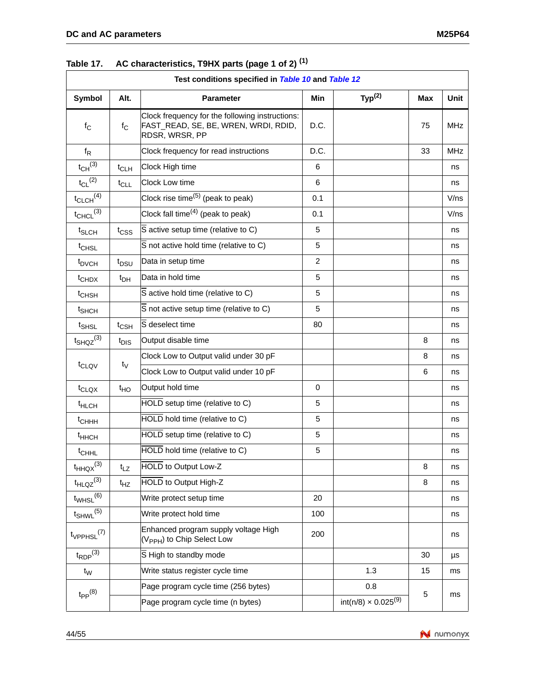|                             | Test conditions specified in Table 10 and Table 12 |                                                                                                           |          |                                        |     |             |  |  |
|-----------------------------|----------------------------------------------------|-----------------------------------------------------------------------------------------------------------|----------|----------------------------------------|-----|-------------|--|--|
| Symbol                      | Alt.                                               | <b>Parameter</b>                                                                                          | Min      | Typ <sup>(2)</sup>                     | Max | <b>Unit</b> |  |  |
| $f_{\rm C}$                 | $f_{\rm C}$                                        | Clock frequency for the following instructions:<br>FAST_READ, SE, BE, WREN, WRDI, RDID,<br>RDSR, WRSR, PP | D.C.     |                                        |     | <b>MHz</b>  |  |  |
| $f_R$                       |                                                    | Clock frequency for read instructions                                                                     | D.C.     |                                        | 33  | <b>MHz</b>  |  |  |
| $t_{CH}$ <sup>(3)</sup>     | $t_{CLH}$                                          | Clock High time                                                                                           | 6        |                                        |     | ns          |  |  |
| $t_{CL}$ <sup>(2)</sup>     | $t_{CLL}$                                          | Clock Low time                                                                                            | 6        |                                        |     | ns          |  |  |
| $t_{CLCH}$ <sup>(4)</sup>   |                                                    | Clock rise time <sup>(5)</sup> (peak to peak)                                                             | 0.1      |                                        |     | V/ns        |  |  |
| $t_{CHCL}$ (3)              |                                                    | Clock fall time $(4)$ (peak to peak)                                                                      | 0.1      |                                        |     | V/ns        |  |  |
| t <sub>SLCH</sub>           | t <sub>CSS</sub>                                   | S active setup time (relative to C)                                                                       | 5        |                                        |     | ns          |  |  |
| t <sub>CHSL</sub>           |                                                    | S not active hold time (relative to C)                                                                    | 5        |                                        |     | ns          |  |  |
| t <sub>DVCH</sub>           | t <sub>DSU</sub>                                   | Data in setup time                                                                                        | 2        |                                        |     | ns          |  |  |
| t <sub>CHDX</sub>           | $t_{DH}$                                           | Data in hold time                                                                                         | 5        |                                        |     | ns          |  |  |
| t <sub>CHSH</sub>           |                                                    | S active hold time (relative to C)                                                                        | 5        |                                        |     | ns          |  |  |
| t <sub>SHCH</sub>           |                                                    | S not active setup time (relative to C)                                                                   | 5        |                                        |     | ns          |  |  |
| t <sub>SHSL</sub>           | $t_{\text{CSH}}$                                   | S deselect time                                                                                           | 80       |                                        |     | ns          |  |  |
| $t_{SHQZ}^{(3)}$            | t <sub>DIS</sub>                                   | Output disable time                                                                                       |          |                                        | 8   | ns          |  |  |
|                             |                                                    | Clock Low to Output valid under 30 pF                                                                     |          |                                        | 8   | ns          |  |  |
| t <sub>CLQV</sub>           | t <sub>V</sub>                                     | Clock Low to Output valid under 10 pF                                                                     |          |                                        | 6   | ns          |  |  |
| $t_{\text{CLQX}}$           | $t_{HO}$                                           | Output hold time                                                                                          | $\Omega$ |                                        |     | ns          |  |  |
| <sup>t</sup> HLCH           |                                                    | HOLD setup time (relative to C)                                                                           | 5        |                                        |     | ns          |  |  |
| $t$ <sub>CHHH</sub>         |                                                    | HOLD hold time (relative to C)                                                                            | 5        |                                        |     | ns          |  |  |
| <sup>t</sup> ннсн           |                                                    | HOLD setup time (relative to C)                                                                           | 5        |                                        |     | ns          |  |  |
| t <sub>CHHL</sub>           |                                                    | HOLD hold time (relative to C)                                                                            | 5        |                                        |     | ns          |  |  |
| $t_{HHQX}$ <sup>(3)</sup>   | $t_{LZ}$                                           | HOLD to Output Low-Z                                                                                      |          |                                        | 8   | ns          |  |  |
| $t_{HLQZ}^{(3)}$            | $t_{HZ}$                                           | <b>HOLD</b> to Output High-Z                                                                              |          |                                        | 8   | ns          |  |  |
| $t_{WHSL}$ <sup>(6)</sup>   |                                                    | Write protect setup time                                                                                  | 20       |                                        |     | ns          |  |  |
| $t_{SHWL}$ (5)              |                                                    | Write protect hold time                                                                                   | 100      |                                        |     | ns          |  |  |
| $t_{VPPHSL}$ <sup>(7)</sup> |                                                    | Enhanced program supply voltage High<br>(V <sub>PPH</sub> ) to Chip Select Low                            | 200      |                                        |     | ns          |  |  |
| $t_{\mathsf{RDP}}^{(3)}$    |                                                    | S High to standby mode                                                                                    |          |                                        | 30  | μs          |  |  |
| $t_W$                       |                                                    | Write status register cycle time                                                                          |          | 1.3                                    | 15  | ms          |  |  |
|                             |                                                    | Page program cycle time (256 bytes)                                                                       |          | 0.8                                    |     |             |  |  |
| $t_{PP}$ <sup>(8)</sup>     |                                                    | Page program cycle time (n bytes)                                                                         |          | int(n/8) $\times$ 0.025 <sup>(9)</sup> | 5   | ms          |  |  |

### <span id="page-43-0"></span>**Table 17. AC characteristics, T9HX parts (page 1 [of 2\)](#page-39-1) (1)**

![](_page_43_Picture_4.jpeg)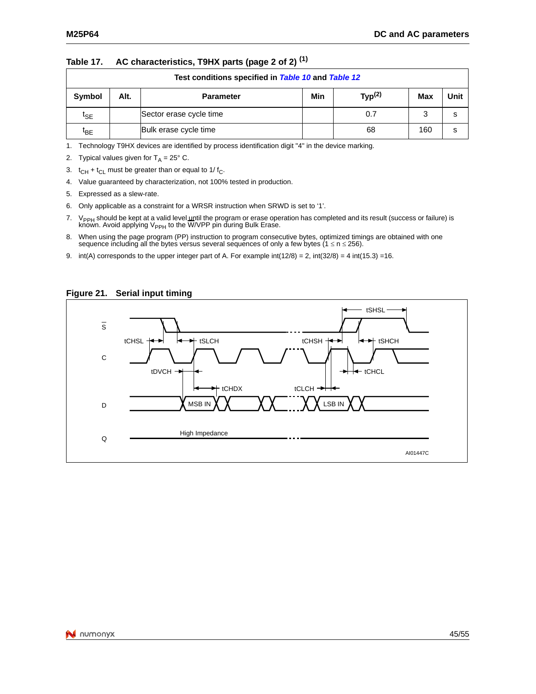| Test conditions specified in Table 10 and Table 12 |      |                         |     |                    |            |      |  |
|----------------------------------------------------|------|-------------------------|-----|--------------------|------------|------|--|
| Symbol                                             | Alt. | <b>Parameter</b>        | Min | Typ <sup>(2)</sup> | <b>Max</b> | Unit |  |
| $\mathfrak{r}_{\mathsf{SE}}$                       |      | Sector erase cycle time |     | 0.7                | 3          | s    |  |
| tв∈                                                |      | Bulk erase cycle time   |     | 68                 | 160        | s    |  |

### **Table 17. AC characteristics, T9HX parts (page 2 of 2) (1)**

1. Technology T9HX devices are identified by process identification digit "4" in the device marking.

2. Typical values given for  $T_A = 25^\circ$  C.

3.  $t_{CH} + t_{CL}$  must be greater than or equal to 1/ $t_{C}$ .

4. Value guaranteed by characterization, not 100% tested in production.

5. Expressed as a slew-rate.

6. Only applicable as a constraint for a WRSR instruction when SRWD is set to '1'.

7. V<sub>PPH</sub> should be kept at a valid level <u>un</u>til the program or erase operation has completed and its result (success or failure) is<br>known. Avoid applying V<sub>PPH</sub> to the W/VPP pin during Bulk Erase.

- 8. When using the page program (PP) instruction to program consecutive bytes, optimized timings are obtained with one sequence including all the bytes versus several sequences of only a few bytes ( $1 \le n \le 256$ ).
- <span id="page-44-0"></span>9. int(A) corresponds to the upper integer part of A. For example int(12/8) = 2, int(32/8) = 4 int(15.3) =16.

#### **Figure 21. Serial input timing**

![](_page_44_Figure_14.jpeg)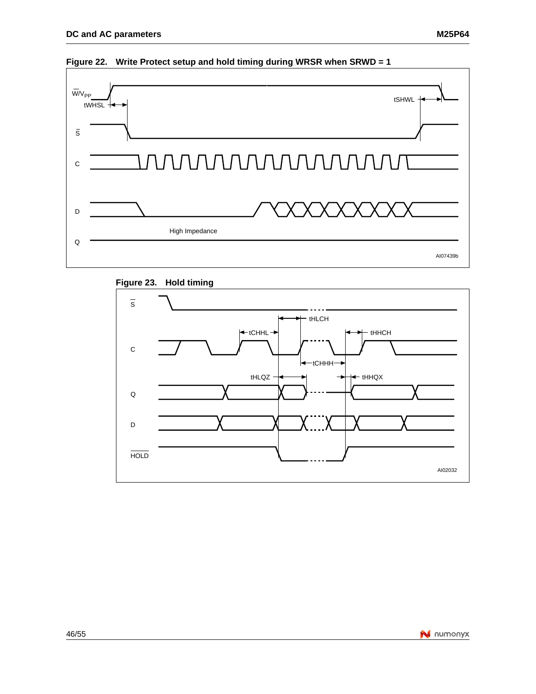![](_page_45_Figure_1.jpeg)

<span id="page-45-0"></span>![](_page_45_Figure_2.jpeg)

<span id="page-45-1"></span>![](_page_45_Figure_3.jpeg)

![](_page_45_Figure_4.jpeg)

![](_page_45_Picture_5.jpeg)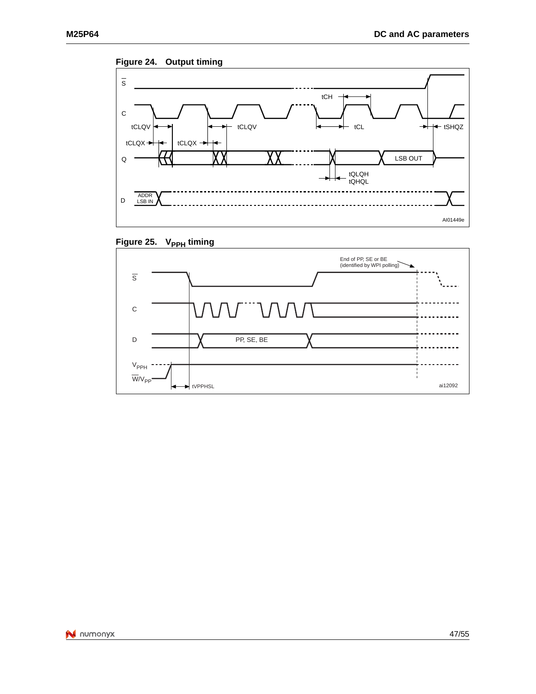<span id="page-46-0"></span>![](_page_46_Figure_2.jpeg)

![](_page_46_Figure_3.jpeg)

<span id="page-46-1"></span>![](_page_46_Figure_4.jpeg)

![](_page_46_Figure_5.jpeg)

![](_page_46_Picture_6.jpeg)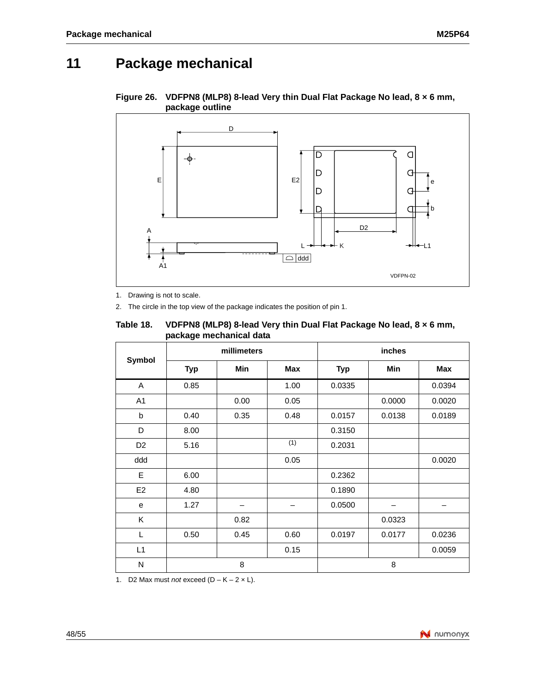## <span id="page-47-0"></span>**11 Package mechanical**

<span id="page-47-2"></span>![](_page_47_Figure_3.jpeg)

![](_page_47_Figure_4.jpeg)

<span id="page-47-1"></span>1. Drawing is not to scale.

2. The circle in the top view of the package indicates the position of pin 1.

| Table 18. | VDFPN8 (MLP8) 8-lead Very thin Dual Flat Package No lead, 8 x 6 mm, |
|-----------|---------------------------------------------------------------------|
|           | package mechanical data                                             |

|                | ັ<br>millimeters |      |            |            | inches |            |
|----------------|------------------|------|------------|------------|--------|------------|
| Symbol         | <b>Typ</b>       | Min  | <b>Max</b> | <b>Typ</b> | Min    | <b>Max</b> |
| A              | 0.85             |      | 1.00       | 0.0335     |        | 0.0394     |
| A1             |                  | 0.00 | 0.05       |            | 0.0000 | 0.0020     |
| b              | 0.40             | 0.35 | 0.48       | 0.0157     | 0.0138 | 0.0189     |
| D              | 8.00             |      |            | 0.3150     |        |            |
| D <sub>2</sub> | 5.16             |      | (1)        | 0.2031     |        |            |
| ddd            |                  |      | 0.05       |            |        | 0.0020     |
| E              | 6.00             |      |            | 0.2362     |        |            |
| E <sub>2</sub> | 4.80             |      |            | 0.1890     |        |            |
| e              | 1.27             |      |            | 0.0500     |        |            |
| K              |                  | 0.82 |            |            | 0.0323 |            |
| L              | 0.50             | 0.45 | 0.60       | 0.0197     | 0.0177 | 0.0236     |
| L1             |                  |      | 0.15       |            |        | 0.0059     |
| N              |                  | 8    |            |            | 8      |            |

<span id="page-47-3"></span>1. D2 Max must *not* exceed  $(D - K - 2 \times L)$ .

![](_page_47_Picture_10.jpeg)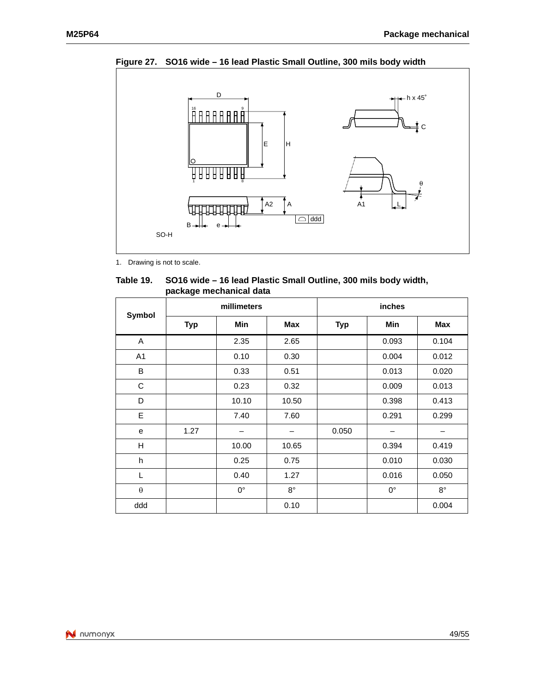![](_page_48_Figure_2.jpeg)

<span id="page-48-1"></span>**Figure 27. SO16 wide – 16 lead Plastic Small Outline, 300 mils body width**

<span id="page-48-0"></span>1. Drawing is not to scale.

 **Table 19. SO16 wide – 16 lead Plastic Small Outline, 300 mils body width, package mechanical data**

| <b>Symbol</b>         |            | millimeters     |             |            | inches      |             |
|-----------------------|------------|-----------------|-------------|------------|-------------|-------------|
|                       | <b>Typ</b> | <b>Min</b>      | Max         | <b>Typ</b> | <b>Min</b>  | <b>Max</b>  |
| A                     |            | 2.35            | 2.65        |            | 0.093       | 0.104       |
| A <sub>1</sub>        |            | 0.10            | 0.30        |            | 0.004       | 0.012       |
| B                     |            | 0.33            | 0.51        |            | 0.013       | 0.020       |
| C                     |            | 0.23            | 0.32        |            | 0.009       | 0.013       |
| D                     |            | 10.10           | 10.50       |            | 0.398       | 0.413       |
| E                     |            | 7.40            | 7.60        |            | 0.291       | 0.299       |
| e                     | 1.27       | $\qquad \qquad$ | -           | 0.050      | -           | -           |
| H                     |            | 10.00           | 10.65       |            | 0.394       | 0.419       |
| h                     |            | 0.25            | 0.75        |            | 0.010       | 0.030       |
| L                     |            | 0.40            | 1.27        |            | 0.016       | 0.050       |
| $\boldsymbol{\theta}$ |            | $0^{\circ}$     | $8^{\circ}$ |            | $0^{\circ}$ | $8^{\circ}$ |
| ddd                   |            |                 | 0.10        |            |             | 0.004       |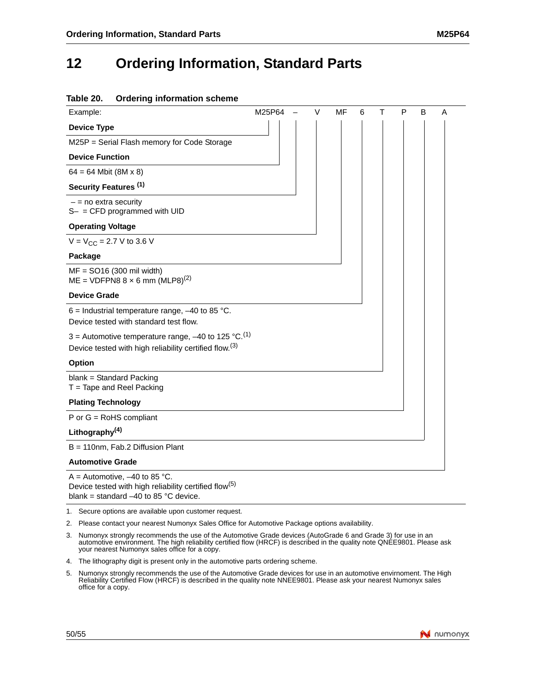## <span id="page-49-1"></span><span id="page-49-0"></span>**12 Ordering Information, Standard Parts**

### **Table 20. Ordering information scheme**

| Example:                                                                        | M25P64 | V | MF | 6 | т | P | B | Α |
|---------------------------------------------------------------------------------|--------|---|----|---|---|---|---|---|
| <b>Device Type</b>                                                              |        |   |    |   |   |   |   |   |
| M25P = Serial Flash memory for Code Storage                                     |        |   |    |   |   |   |   |   |
| <b>Device Function</b>                                                          |        |   |    |   |   |   |   |   |
| $64 = 64$ Mbit (8M x 8)                                                         |        |   |    |   |   |   |   |   |
| Security Features <sup>(1)</sup>                                                |        |   |    |   |   |   |   |   |
| $-$ = no extra security<br>$S-$ = CFD programmed with UID                       |        |   |    |   |   |   |   |   |
| <b>Operating Voltage</b>                                                        |        |   |    |   |   |   |   |   |
| $V = V_{CC} = 2.7 V$ to 3.6 V                                                   |        |   |    |   |   |   |   |   |
| Package                                                                         |        |   |    |   |   |   |   |   |
| $MF = SO16 (300 mil width)$<br>$ME = VDFPN88 \times 6$ mm (MLP8) <sup>(2)</sup> |        |   |    |   |   |   |   |   |
| <b>Device Grade</b>                                                             |        |   |    |   |   |   |   |   |
| 6 = Industrial temperature range, $-40$ to 85 °C.                               |        |   |    |   |   |   |   |   |
| Device tested with standard test flow.                                          |        |   |    |   |   |   |   |   |
| 3 = Automotive temperature range, $-40$ to 125 °C. <sup>(1)</sup>               |        |   |    |   |   |   |   |   |
| Device tested with high reliability certified flow. <sup>(3)</sup>              |        |   |    |   |   |   |   |   |
| Option                                                                          |        |   |    |   |   |   |   |   |
| blank = Standard Packing<br>$T =$ Tape and Reel Packing                         |        |   |    |   |   |   |   |   |
| <b>Plating Technology</b>                                                       |        |   |    |   |   |   |   |   |
| $P$ or $G =$ RoHS compliant                                                     |        |   |    |   |   |   |   |   |
| Lithography <sup>(4)</sup>                                                      |        |   |    |   |   |   |   |   |
| B = 110nm, Fab.2 Diffusion Plant                                                |        |   |    |   |   |   |   |   |
| <b>Automotive Grade</b>                                                         |        |   |    |   |   |   |   |   |

 $A =$  Automotive,  $-40$  to 85 °C. Device tested with high reliability certified flow(5) blank = standard  $-40$  to 85 °C device.

1. Secure options are available upon customer request.

2. Please contact your nearest Numonyx Sales Office for Automotive Package options availability.

- 3. Numonyx strongly recommends the use of the Automotive Grade devices (AutoGrade 6 and Grade 3) for use in an automotive environment. The high reliability certified flow (HRCF) is described in the quality note QNEE9801. Please ask your nearest Numonyx sales office for a copy.
- 4. The lithography digit is present only in the automotive parts ordering scheme.
- 5. Numonyx strongly recommends the use of the Automotive Grade devices for use in an automotive envirnoment. The High<br>Reliability Certified Flow (HRCF) is described in the quality note NNEE9801. Please ask your nearest Num

![](_page_49_Picture_11.jpeg)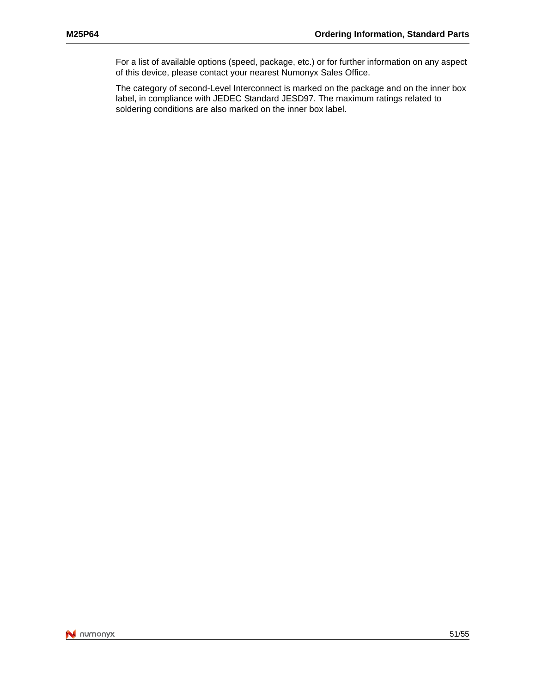For a list of available options (speed, package, etc.) or for further information on any aspect of this device, please contact your nearest Numonyx Sales Office.

The category of second-Level Interconnect is marked on the package and on the inner box label, in compliance with JEDEC Standard JESD97. The maximum ratings related to soldering conditions are also marked on the inner box label.

![](_page_50_Picture_4.jpeg)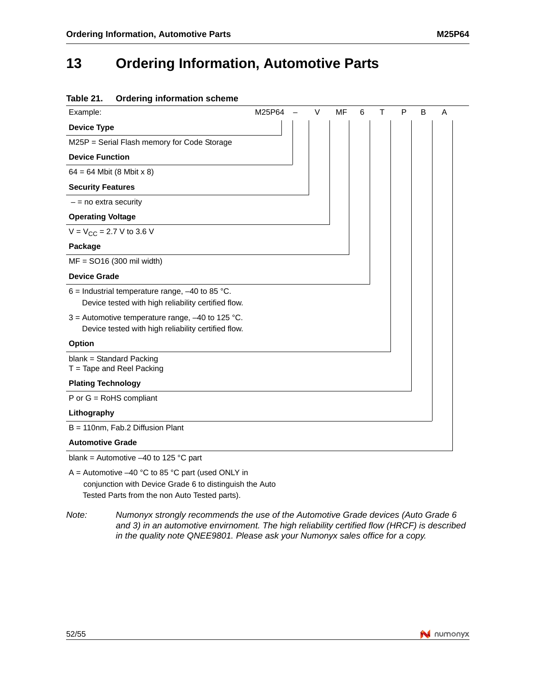## <span id="page-51-1"></span><span id="page-51-0"></span>**13 Ordering Information, Automotive Parts**

| Table 21.<br><b>Ordering information scheme</b>         |        |        |    |   |   |   |   |   |  |
|---------------------------------------------------------|--------|--------|----|---|---|---|---|---|--|
| Example:                                                | M25P64 | $\vee$ | MF | 6 | T | P | B | A |  |
| <b>Device Type</b>                                      |        |        |    |   |   |   |   |   |  |
| M25P = Serial Flash memory for Code Storage             |        |        |    |   |   |   |   |   |  |
| <b>Device Function</b>                                  |        |        |    |   |   |   |   |   |  |
| $64 = 64$ Mbit (8 Mbit x 8)                             |        |        |    |   |   |   |   |   |  |
| <b>Security Features</b>                                |        |        |    |   |   |   |   |   |  |
| $-$ = no extra security                                 |        |        |    |   |   |   |   |   |  |
| <b>Operating Voltage</b>                                |        |        |    |   |   |   |   |   |  |
| $V = V_{CC} = 2.7 V$ to 3.6 V                           |        |        |    |   |   |   |   |   |  |
| Package                                                 |        |        |    |   |   |   |   |   |  |
| $MF = SO16 (300 mil width)$                             |        |        |    |   |   |   |   |   |  |
| <b>Device Grade</b>                                     |        |        |    |   |   |   |   |   |  |
| 6 = Industrial temperature range, $-40$ to 85 °C.       |        |        |    |   |   |   |   |   |  |
| Device tested with high reliability certified flow.     |        |        |    |   |   |   |   |   |  |
| 3 = Automotive temperature range, $-40$ to 125 °C.      |        |        |    |   |   |   |   |   |  |
| Device tested with high reliability certified flow.     |        |        |    |   |   |   |   |   |  |
| <b>Option</b>                                           |        |        |    |   |   |   |   |   |  |
| blank = Standard Packing<br>$T =$ Tape and Reel Packing |        |        |    |   |   |   |   |   |  |
| <b>Plating Technology</b>                               |        |        |    |   |   |   |   |   |  |
| $P$ or $G =$ RoHS compliant                             |        |        |    |   |   |   |   |   |  |
| Lithography                                             |        |        |    |   |   |   |   |   |  |
| B = 110nm, Fab.2 Diffusion Plant                        |        |        |    |   |   |   |   |   |  |
| <b>Automotive Grade</b>                                 |        |        |    |   |   |   |   |   |  |

blank = Automotive –40 to 125 °C part

A = Automotive  $-40$  °C to 85 °C part (used ONLY in conjunction with Device Grade 6 to distinguish the Auto Tested Parts from the non Auto Tested parts).

*Note: Numonyx strongly recommends the use of the Automotive Grade devices (Auto Grade 6 and 3) in an automotive envirnoment. The high reliability certified flow (HRCF) is described in the quality note QNEE9801. Please ask your Numonyx sales office for a copy.*

![](_page_51_Picture_7.jpeg)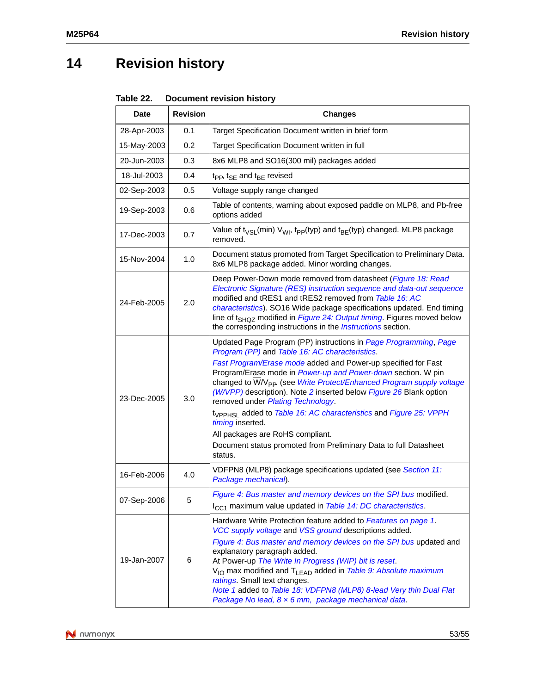# <span id="page-52-0"></span>**14 Revision history**

<span id="page-52-1"></span>

| Table 22. | <b>Document revision history</b> |  |
|-----------|----------------------------------|--|
|           |                                  |  |

| <b>Date</b> | <b>Revision</b> | <b>Changes</b>                                                                                                                                                                                                                                                                                                                                                                                                                                                                                                                                                                                                                                                              |
|-------------|-----------------|-----------------------------------------------------------------------------------------------------------------------------------------------------------------------------------------------------------------------------------------------------------------------------------------------------------------------------------------------------------------------------------------------------------------------------------------------------------------------------------------------------------------------------------------------------------------------------------------------------------------------------------------------------------------------------|
| 28-Apr-2003 | 0.1             | Target Specification Document written in brief form                                                                                                                                                                                                                                                                                                                                                                                                                                                                                                                                                                                                                         |
| 15-May-2003 | 0.2             | Target Specification Document written in full                                                                                                                                                                                                                                                                                                                                                                                                                                                                                                                                                                                                                               |
| 20-Jun-2003 | 0.3             | 8x6 MLP8 and SO16(300 mil) packages added                                                                                                                                                                                                                                                                                                                                                                                                                                                                                                                                                                                                                                   |
| 18-Jul-2003 | 0.4             | $tpp$ , $t_{SE}$ and $t_{BE}$ revised                                                                                                                                                                                                                                                                                                                                                                                                                                                                                                                                                                                                                                       |
| 02-Sep-2003 | 0.5             | Voltage supply range changed                                                                                                                                                                                                                                                                                                                                                                                                                                                                                                                                                                                                                                                |
| 19-Sep-2003 | 0.6             | Table of contents, warning about exposed paddle on MLP8, and Pb-free<br>options added                                                                                                                                                                                                                                                                                                                                                                                                                                                                                                                                                                                       |
| 17-Dec-2003 | 0.7             | Value of $t_{VSL}(min)$ V <sub>WI</sub> , $t_{PP}(typ)$ and $t_{BE}(typ)$ changed. MLP8 package<br>removed.                                                                                                                                                                                                                                                                                                                                                                                                                                                                                                                                                                 |
| 15-Nov-2004 | 1.0             | Document status promoted from Target Specification to Preliminary Data.<br>8x6 MLP8 package added. Minor wording changes.                                                                                                                                                                                                                                                                                                                                                                                                                                                                                                                                                   |
| 24-Feb-2005 | 2.0             | Deep Power-Down mode removed from datasheet ( <i>Figure 18: Read</i><br>Electronic Signature (RES) instruction sequence and data-out sequence<br>modified and tRES1 and tRES2 removed from Table 16: AC<br>characteristics). SO16 Wide package specifications updated. End timing<br>line of t <sub>SHOZ</sub> modified in <i>Figure 24: Output timing</i> . Figures moved below<br>the corresponding instructions in the <i>Instructions</i> section.                                                                                                                                                                                                                      |
| 23-Dec-2005 | 3.0             | Updated Page Program (PP) instructions in Page Programming, Page<br>Program (PP) and Table 16: AC characteristics.<br>Fast Program/Erase mode added and Power-up specified for Fast<br>Program/Erase mode in Power-up and Power-down section. W pin<br>changed to W/V <sub>PP</sub> . (see Write Protect/Enhanced Program supply voltage<br>(W/VPP) description). Note 2 inserted below Figure 26 Blank option<br>removed under Plating Technology.<br>t <sub>VPPHSI</sub> added to Table 16: AC characteristics and Figure 25: VPPH<br>timing inserted.<br>All packages are RoHS compliant.<br>Document status promoted from Preliminary Data to full Datasheet<br>status. |
| 16-Feb-2006 | 4.0             | VDFPN8 (MLP8) package specifications updated (see Section 11:<br>Package mechanical).                                                                                                                                                                                                                                                                                                                                                                                                                                                                                                                                                                                       |
| 07-Sep-2006 | 5               | Figure 4: Bus master and memory devices on the SPI bus modified.<br>I <sub>CC1</sub> maximum value updated in Table 14: DC characteristics.                                                                                                                                                                                                                                                                                                                                                                                                                                                                                                                                 |
| 19-Jan-2007 | 6               | Hardware Write Protection feature added to Features on page 1.<br>VCC supply voltage and VSS ground descriptions added.<br>Figure 4: Bus master and memory devices on the SPI bus updated and<br>explanatory paragraph added.<br>At Power-up The Write In Progress (WIP) bit is reset.<br>$V_{1O}$ max modified and $T_{LEAD}$ added in Table 9: Absolute maximum<br>ratings. Small text changes.<br>Note 1 added to Table 18: VDFPN8 (MLP8) 8-lead Very thin Dual Flat<br>Package No lead, 8 x 6 mm, package mechanical data.                                                                                                                                              |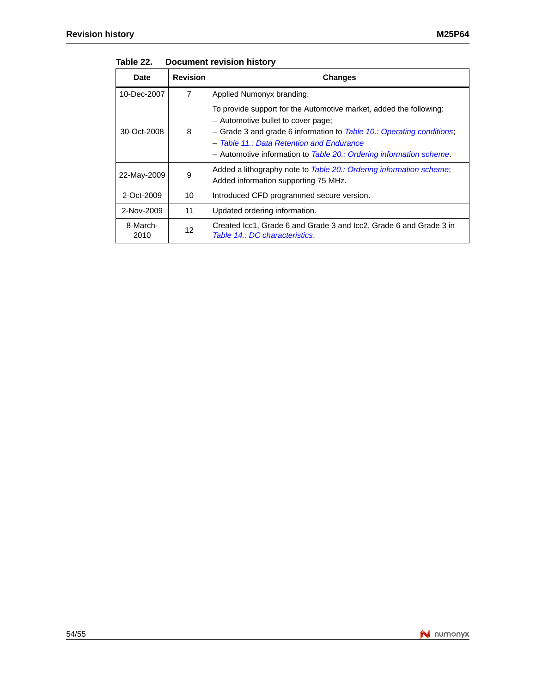| <b>Date</b>      | <b>Revision</b> | <b>Changes</b>                                                                                                                                                                                                                                                                                        |
|------------------|-----------------|-------------------------------------------------------------------------------------------------------------------------------------------------------------------------------------------------------------------------------------------------------------------------------------------------------|
| 10-Dec-2007      | $\overline{7}$  | Applied Numonyx branding.                                                                                                                                                                                                                                                                             |
| 30-Oct-2008      | 8               | To provide support for the Automotive market, added the following:<br>- Automotive bullet to cover page;<br>- Grade 3 and grade 6 information to Table 10.: Operating conditions;<br>- Table 11.: Data Retention and Endurance<br>- Automotive information to Table 20.: Ordering information scheme. |
| 22-May-2009      | 9               | Added a lithography note to Table 20.: Ordering information scheme;<br>Added information supporting 75 MHz.                                                                                                                                                                                           |
| 2-Oct-2009       | 10              | Introduced CFD programmed secure version.                                                                                                                                                                                                                                                             |
| 2-Nov-2009       | 11              | Updated ordering information.                                                                                                                                                                                                                                                                         |
| 8-March-<br>2010 | 12              | Created Icc1, Grade 6 and Grade 3 and Icc2, Grade 6 and Grade 3 in<br>Table 14.: DC characteristics.                                                                                                                                                                                                  |

**Table 22. Document revision history**

![](_page_53_Picture_4.jpeg)